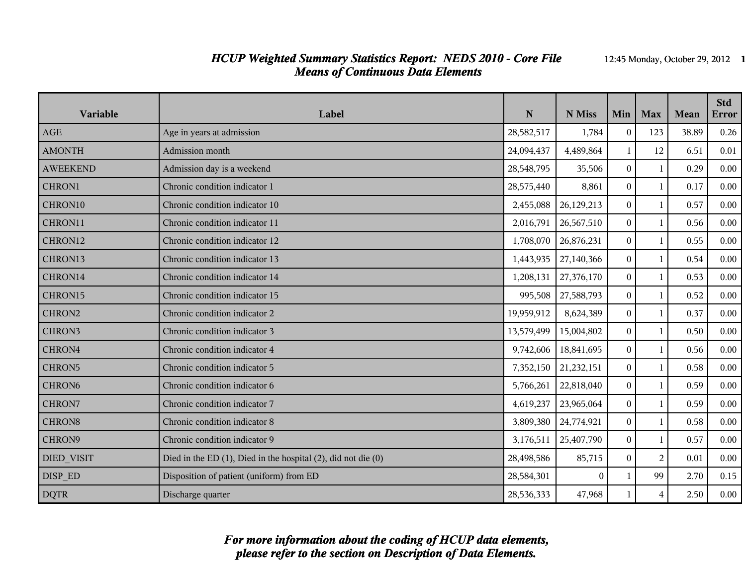### *HCUP Weighted Summary Statistics Report: NEDS 2010 - Core File* 12:45 Monday, October 29, 2012 **1** *Means of Continuous Data Elements*

| Variable           | Label                                                                 | ${\bf N}$  | N Miss     | Min            | <b>Max</b>     | Mean  | <b>Std</b><br><b>Error</b> |
|--------------------|-----------------------------------------------------------------------|------------|------------|----------------|----------------|-------|----------------------------|
| <b>AGE</b>         | Age in years at admission                                             | 28,582,517 | 1,784      | $\Omega$       | 123            | 38.89 | 0.26                       |
| <b>AMONTH</b>      | Admission month                                                       | 24,094,437 | 4,489,864  | $\mathbf{1}$   | 12             | 6.51  | 0.01                       |
| <b>AWEEKEND</b>    | Admission day is a weekend                                            | 28,548,795 | 35,506     | $\overline{0}$ | $\mathbf{1}$   | 0.29  | 0.00                       |
| CHRON1             | Chronic condition indicator 1                                         | 28,575,440 | 8,861      | $\Omega$       | 1              | 0.17  | 0.00                       |
| CHRON10            | Chronic condition indicator 10                                        | 2,455,088  | 26,129,213 | $\theta$       | $\mathbf{1}$   | 0.57  | 0.00                       |
| CHRON11            | Chronic condition indicator 11                                        | 2,016,791  | 26,567,510 | $\Omega$       | $\mathbf{1}$   | 0.56  | 0.00                       |
| CHRON12            | Chronic condition indicator 12                                        | 1,708,070  | 26,876,231 | $\Omega$       | $\mathbf{1}$   | 0.55  | 0.00                       |
| CHRON13            | Chronic condition indicator 13                                        | 1,443,935  | 27,140,366 | $\Omega$       | $\mathbf{1}$   | 0.54  | 0.00                       |
| CHRON14            | Chronic condition indicator 14                                        | 1,208,131  | 27,376,170 | $\theta$       | $\mathbf{1}$   | 0.53  | 0.00                       |
| CHRON15            | Chronic condition indicator 15                                        | 995,508    | 27,588,793 | $\Omega$       | $\mathbf{1}$   | 0.52  | 0.00                       |
| CHRON2             | Chronic condition indicator 2                                         | 19,959,912 | 8,624,389  | $\Omega$       | $\mathbf{1}$   | 0.37  | 0.00                       |
| CHRON3             | Chronic condition indicator 3                                         | 13,579,499 | 15,004,802 | $\Omega$       | $\mathbf{1}$   | 0.50  | 0.00                       |
| CHRON4             | Chronic condition indicator 4                                         | 9,742,606  | 18,841,695 | $\Omega$       | $\mathbf{1}$   | 0.56  | 0.00                       |
| CHRON5             | Chronic condition indicator 5                                         | 7,352,150  | 21,232,151 | $\Omega$       | 1              | 0.58  | 0.00                       |
| CHRON <sub>6</sub> | Chronic condition indicator 6                                         | 5,766,261  | 22,818,040 | $\theta$       | $\mathbf{1}$   | 0.59  | 0.00                       |
| CHRON7             | Chronic condition indicator 7                                         | 4,619,237  | 23,965,064 | $\overline{0}$ | $\mathbf{1}$   | 0.59  | 0.00                       |
| CHRON8             | Chronic condition indicator 8                                         | 3,809,380  | 24,774,921 | $\Omega$       | $\mathbf{1}$   | 0.58  | 0.00                       |
| CHRON9             | Chronic condition indicator 9                                         | 3,176,511  | 25,407,790 | $\Omega$       | $\mathbf{1}$   | 0.57  | 0.00                       |
| <b>DIED_VISIT</b>  | Died in the ED $(1)$ , Died in the hospital $(2)$ , did not die $(0)$ | 28,498,586 | 85,715     | $\Omega$       | 2              | 0.01  | 0.00                       |
| DISP ED            | Disposition of patient (uniform) from ED                              | 28,584,301 | $\theta$   | 1              | 99             | 2.70  | 0.15                       |
| <b>DQTR</b>        | Discharge quarter                                                     | 28,536,333 | 47,968     |                | $\overline{4}$ | 2.50  | 0.00                       |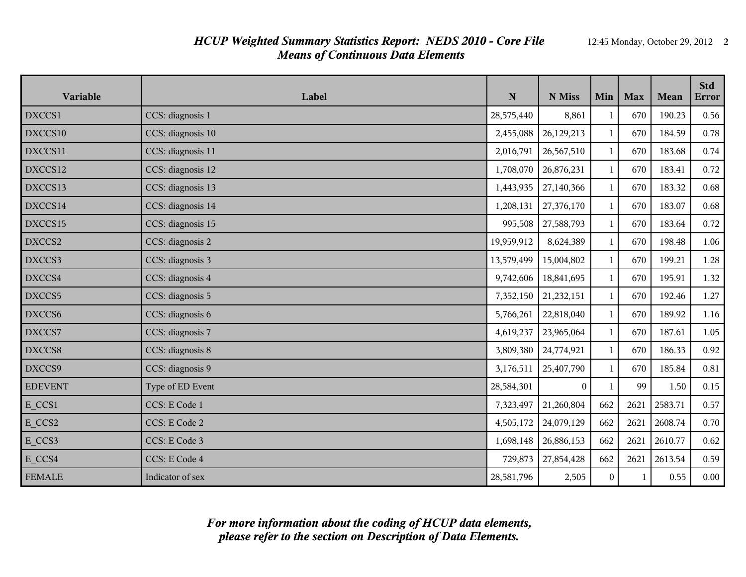### *HCUP Weighted Summary Statistics Report: NEDS 2010 - Core File* 12:45 Monday, October 29, 2012 **2** *Means of Continuous Data Elements*

| Variable       | Label             | ${\bf N}$  | N Miss     | Min          | <b>Max</b> | Mean    | <b>Std</b><br>Error |
|----------------|-------------------|------------|------------|--------------|------------|---------|---------------------|
| DXCCS1         | CCS: diagnosis 1  | 28,575,440 | 8,861      | 1            | 670        | 190.23  | 0.56                |
| DXCCS10        | CCS: diagnosis 10 | 2,455,088  | 26,129,213 | $\mathbf{1}$ | 670        | 184.59  | 0.78                |
| DXCCS11        | CCS: diagnosis 11 | 2,016,791  | 26,567,510 | $\mathbf{1}$ | 670        | 183.68  | 0.74                |
| DXCCS12        | CCS: diagnosis 12 | 1,708,070  | 26,876,231 | $\mathbf{1}$ | 670        | 183.41  | 0.72                |
| DXCCS13        | CCS: diagnosis 13 | 1,443,935  | 27,140,366 | $\mathbf{1}$ | 670        | 183.32  | 0.68                |
| DXCCS14        | CCS: diagnosis 14 | 1,208,131  | 27,376,170 | 1            | 670        | 183.07  | 0.68                |
| DXCCS15        | CCS: diagnosis 15 | 995,508    | 27,588,793 | 1            | 670        | 183.64  | 0.72                |
| DXCCS2         | CCS: diagnosis 2  | 19,959,912 | 8,624,389  | 1            | 670        | 198.48  | 1.06                |
| DXCCS3         | CCS: diagnosis 3  | 13,579,499 | 15,004,802 | 1            | 670        | 199.21  | 1.28                |
| DXCCS4         | CCS: diagnosis 4  | 9,742,606  | 18,841,695 | $\mathbf{1}$ | 670        | 195.91  | 1.32                |
| DXCCS5         | CCS: diagnosis 5  | 7,352,150  | 21,232,151 | $\mathbf{1}$ | 670        | 192.46  | 1.27                |
| DXCCS6         | CCS: diagnosis 6  | 5,766,261  | 22,818,040 | $\mathbf{1}$ | 670        | 189.92  | 1.16                |
| DXCCS7         | CCS: diagnosis 7  | 4,619,237  | 23,965,064 | 1            | 670        | 187.61  | 1.05                |
| DXCCS8         | CCS: diagnosis 8  | 3,809,380  | 24,774,921 | $\mathbf{1}$ | 670        | 186.33  | 0.92                |
| DXCCS9         | CCS: diagnosis 9  | 3,176,511  | 25,407,790 | $\mathbf{1}$ | 670        | 185.84  | 0.81                |
| <b>EDEVENT</b> | Type of ED Event  | 28,584,301 | $\theta$   | $\mathbf{1}$ | 99         | 1.50    | 0.15                |
| E CCS1         | CCS: E Code 1     | 7,323,497  | 21,260,804 | 662          | 2621       | 2583.71 | 0.57                |
| E CCS2         | CCS: E Code 2     | 4,505,172  | 24,079,129 | 662          | 2621       | 2608.74 | 0.70                |
| E_CCS3         | CCS: E Code 3     | 1,698,148  | 26,886,153 | 662          | 2621       | 2610.77 | 0.62                |
| E CCS4         | CCS: E Code 4     | 729,873    | 27,854,428 | 662          | 2621       | 2613.54 | 0.59                |
| <b>FEMALE</b>  | Indicator of sex  | 28,581,796 | 2,505      | $\mathbf{0}$ | 1          | 0.55    | 0.00                |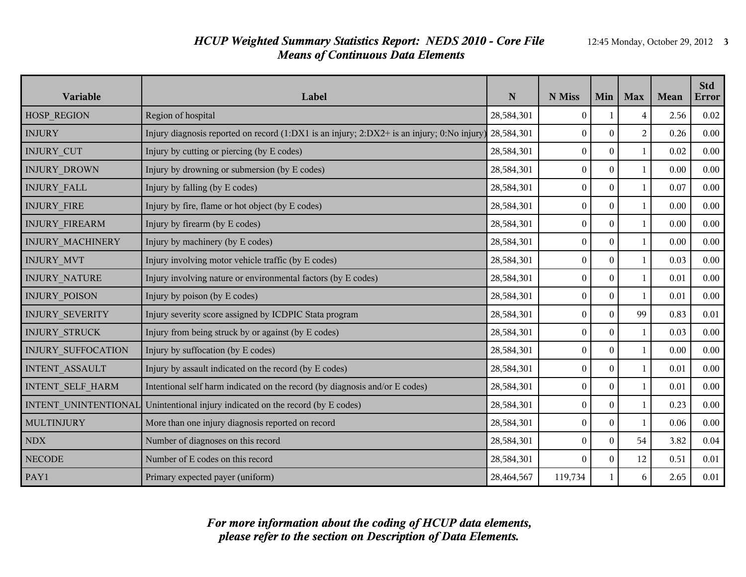### *HCUP Weighted Summary Statistics Report: NEDS 2010 - Core File* 12:45 Monday, October 29, 2012 **3** *Means of Continuous Data Elements*

| Variable                  | Label                                                                                                    | N          | N Miss           | Min      | <b>Max</b>     | Mean | <b>Std</b><br><b>Error</b> |
|---------------------------|----------------------------------------------------------------------------------------------------------|------------|------------------|----------|----------------|------|----------------------------|
| HOSP_REGION               | Region of hospital<br>28,584,301                                                                         |            | $\mathbf{0}$     |          | $\overline{4}$ | 2.56 | 0.02                       |
| <b>INJURY</b>             | Injury diagnosis reported on record (1:DX1 is an injury; 2:DX2+ is an injury; 0:No injury)<br>28,584,301 |            | $\mathbf{0}$     | $\theta$ | $\overline{2}$ | 0.26 | 0.00                       |
| <b>INJURY_CUT</b>         | Injury by cutting or piercing (by E codes)<br>28,584,301                                                 |            | $\overline{0}$   | $\Omega$ | $\mathbf{1}$   | 0.02 | 0.00                       |
| <b>INJURY DROWN</b>       | Injury by drowning or submersion (by E codes)                                                            | 28,584,301 | $\boldsymbol{0}$ | $\theta$ | $\mathbf{1}$   | 0.00 | 0.00                       |
| <b>INJURY FALL</b>        | Injury by falling (by E codes)                                                                           | 28,584,301 | $\boldsymbol{0}$ | $\theta$ | $\mathbf{1}$   | 0.07 | 0.00                       |
| <b>INJURY FIRE</b>        | Injury by fire, flame or hot object (by E codes)                                                         | 28,584,301 | $\boldsymbol{0}$ | $\theta$ | $\mathbf{1}$   | 0.00 | 0.00                       |
| <b>INJURY FIREARM</b>     | Injury by firearm (by E codes)                                                                           | 28,584,301 | $\boldsymbol{0}$ | $\Omega$ | 1              | 0.00 | 0.00                       |
| INJURY MACHINERY          | 28,584,301<br>Injury by machinery (by E codes)                                                           |            | $\boldsymbol{0}$ | $\theta$ | $\mathbf{1}$   | 0.00 | 0.00                       |
| INJURY_MVT                | Injury involving motor vehicle traffic (by E codes)                                                      | 28,584,301 | $\boldsymbol{0}$ | $\theta$ | $\mathbf{1}$   | 0.03 | 0.00                       |
| INJURY_NATURE             | Injury involving nature or environmental factors (by E codes)                                            | 28,584,301 | $\overline{0}$   | $\Omega$ | $\mathbf{1}$   | 0.01 | 0.00                       |
| <b>INJURY POISON</b>      | Injury by poison (by E codes)                                                                            | 28,584,301 | $\boldsymbol{0}$ | $\Omega$ | $\mathbf{1}$   | 0.01 | 0.00                       |
| <b>INJURY SEVERITY</b>    | Injury severity score assigned by ICDPIC Stata program                                                   | 28,584,301 | $\boldsymbol{0}$ | $\theta$ | 99             | 0.83 | 0.01                       |
| <b>INJURY STRUCK</b>      | Injury from being struck by or against (by E codes)                                                      | 28,584,301 | $\overline{0}$   | $\theta$ | $\mathbf{1}$   | 0.03 | 0.00                       |
| <b>INJURY SUFFOCATION</b> | Injury by suffocation (by E codes)                                                                       | 28,584,301 | $\mathbf{0}$     | $\theta$ | 1              | 0.00 | 0.00                       |
| INTENT_ASSAULT            | Injury by assault indicated on the record (by E codes)                                                   | 28,584,301 | $\boldsymbol{0}$ | $\theta$ | $\mathbf{1}$   | 0.01 | 0.00                       |
| INTENT_SELF_HARM          | Intentional self harm indicated on the record (by diagnosis and/or E codes)                              | 28,584,301 | $\boldsymbol{0}$ | $\theta$ | $\mathbf{1}$   | 0.01 | 0.00                       |
| INTENT_UNINTENTIONAL      | Unintentional injury indicated on the record (by E codes)                                                | 28,584,301 | $\boldsymbol{0}$ | $\theta$ | $\mathbf{1}$   | 0.23 | 0.00                       |
| <b>MULTINJURY</b>         | More than one injury diagnosis reported on record                                                        | 28,584,301 | $\boldsymbol{0}$ | $\Omega$ | $\mathbf{1}$   | 0.06 | 0.00                       |
| <b>NDX</b>                | Number of diagnoses on this record                                                                       | 28,584,301 | $\boldsymbol{0}$ | $\bf{0}$ | 54             | 3.82 | 0.04                       |
| <b>NECODE</b>             | Number of E codes on this record                                                                         |            | $\Omega$         | $\theta$ | 12             | 0.51 | 0.01                       |
| PAY1                      | Primary expected payer (uniform)                                                                         | 28,464,567 | 119,734          |          | 6              | 2.65 | 0.01                       |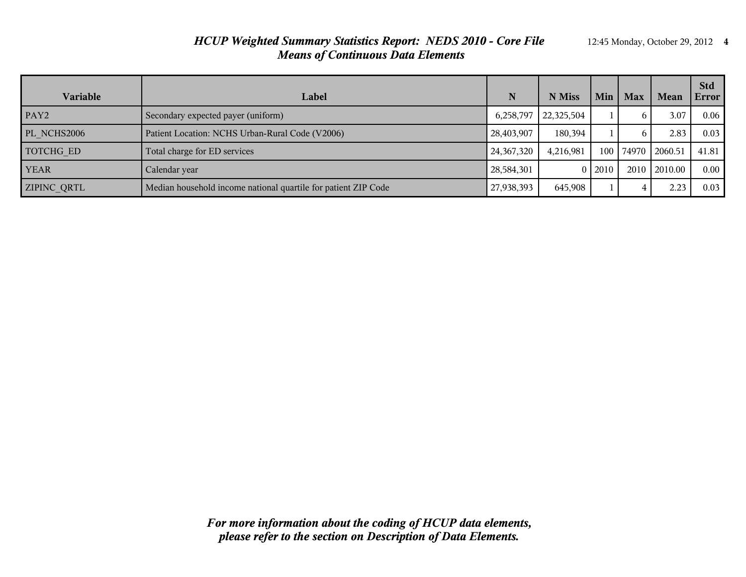#### *HCUP Weighted Summary Statistics Report: NEDS 2010 - Core File* 12:45 Monday, October 29, 2012 **4** *Means of Continuous Data Elements*

| Variable           | Label                                                          | N            | N Miss     | Min    | <b>Max</b>   | Mean    | <b>Std</b><br>Error |
|--------------------|----------------------------------------------------------------|--------------|------------|--------|--------------|---------|---------------------|
| PAY <sub>2</sub>   | Secondary expected payer (uniform)                             | 6,258,797    | 22,325,504 |        | <sub>6</sub> | 3.07    | 0.06                |
| PL NCHS2006        | Patient Location: NCHS Urban-Rural Code (V2006)                | 28,403,907   | 180.394    |        | 6            | 2.83    | 0.03                |
| TOTCHG ED          | Total charge for ED services                                   | 24, 367, 320 | 4,216,981  | 100    | 74970        | 2060.51 | 41.81               |
| <b>YEAR</b>        | Calendar year                                                  | 28,584,301   |            | 012010 | 2010         | 2010.00 | 0.00                |
| <b>ZIPINC QRTL</b> | Median household income national quartile for patient ZIP Code | 27,938,393   | 645,908    |        | 4            | 2.23    | 0.03                |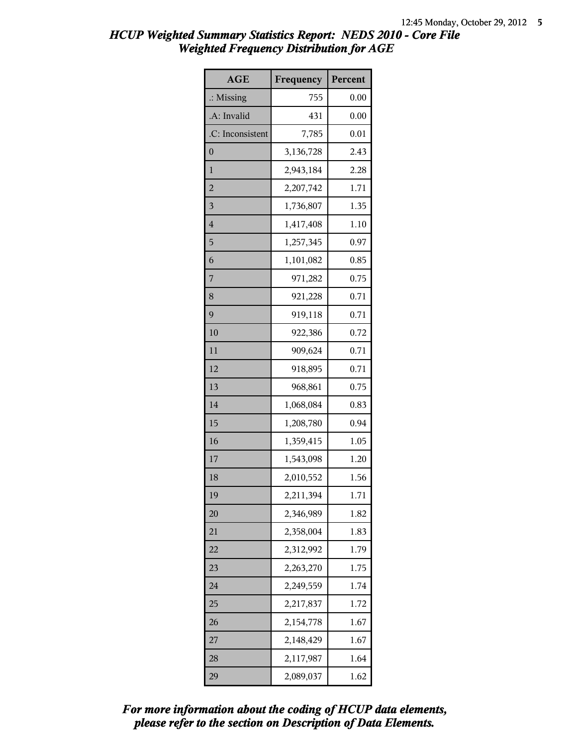| <b>AGE</b>           | Frequency | Percent |
|----------------------|-----------|---------|
| $\therefore$ Missing | 755       | 0.00    |
| .A: Invalid          | 431       | 0.00    |
| .C: Inconsistent     | 7,785     | 0.01    |
| $\boldsymbol{0}$     | 3,136,728 | 2.43    |
| 1                    | 2,943,184 | 2.28    |
| $\overline{c}$       | 2,207,742 | 1.71    |
| 3                    | 1,736,807 | 1.35    |
| $\overline{4}$       | 1,417,408 | 1.10    |
| 5                    | 1,257,345 | 0.97    |
| 6                    | 1,101,082 | 0.85    |
| 7                    | 971,282   | 0.75    |
| 8                    | 921,228   | 0.71    |
| 9                    | 919,118   | 0.71    |
| 10                   | 922,386   | 0.72    |
| 11                   | 909,624   | 0.71    |
| 12                   | 918,895   | 0.71    |
| 13                   | 968,861   | 0.75    |
| 14                   | 1,068,084 | 0.83    |
| 15                   | 1,208,780 | 0.94    |
| 16                   | 1,359,415 | 1.05    |
| 17                   | 1,543,098 | 1.20    |
| 18                   | 2,010,552 | 1.56    |
| 19                   | 2,211,394 | 1.71    |
| 20                   | 2,346,989 | 1.82    |
| 21                   | 2,358,004 | 1.83    |
| 22                   | 2,312,992 | 1.79    |
| 23                   | 2,263,270 | 1.75    |
| 24                   | 2,249,559 | 1.74    |
| 25                   | 2,217,837 | 1.72    |
| 26                   | 2,154,778 | 1.67    |
| 27                   | 2,148,429 | 1.67    |
| 28                   | 2,117,987 | 1.64    |
| 29                   | 2,089,037 | 1.62    |

*please refer to the section on Description of Data Elements. For more information about the coding of HCUP data elements,*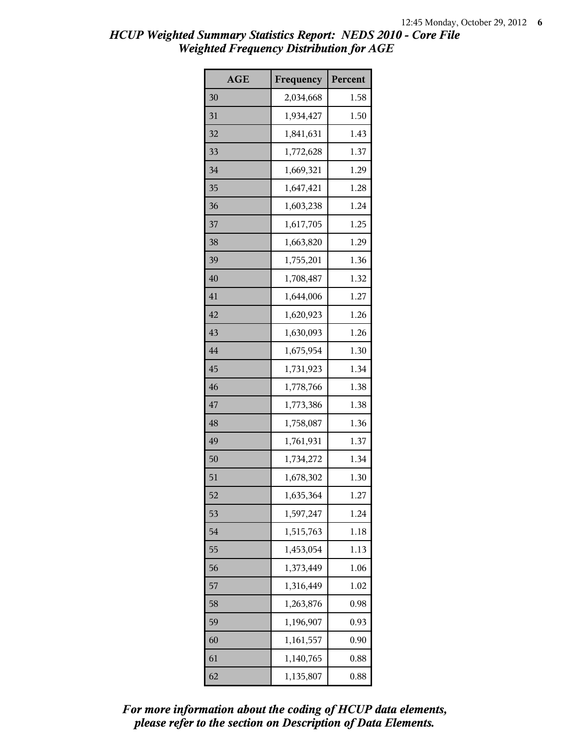| <b>AGE</b> | Frequency | Percent |
|------------|-----------|---------|
| 30         | 2,034,668 | 1.58    |
| 31         | 1,934,427 | 1.50    |
| 32         | 1,841,631 | 1.43    |
| 33         | 1,772,628 | 1.37    |
| 34         | 1,669,321 | 1.29    |
| 35         | 1,647,421 | 1.28    |
| 36         | 1,603,238 | 1.24    |
| 37         | 1,617,705 | 1.25    |
| 38         | 1,663,820 | 1.29    |
| 39         | 1,755,201 | 1.36    |
| 40         | 1,708,487 | 1.32    |
| 41         | 1,644,006 | 1.27    |
| 42         | 1,620,923 | 1.26    |
| 43         | 1,630,093 | 1.26    |
| 44         | 1,675,954 | 1.30    |
| 45         | 1,731,923 | 1.34    |
| 46         | 1,778,766 | 1.38    |
| 47         | 1,773,386 | 1.38    |
| 48         | 1,758,087 | 1.36    |
| 49         | 1,761,931 | 1.37    |
| 50         | 1,734,272 | 1.34    |
| 51         | 1,678,302 | 1.30    |
| 52         | 1,635,364 | 1.27    |
| 53         | 1,597,247 | 1.24    |
| 54         | 1,515,763 | 1.18    |
| 55         | 1,453,054 | 1.13    |
| 56         | 1,373,449 | 1.06    |
| 57         | 1,316,449 | 1.02    |
| 58         | 1,263,876 | 0.98    |
| 59         | 1,196,907 | 0.93    |
| 60         | 1,161,557 | 0.90    |
| 61         | 1,140,765 | 0.88    |
| 62         | 1,135,807 | 0.88    |

*please refer to the section on Description of Data Elements. For more information about the coding of HCUP data elements,*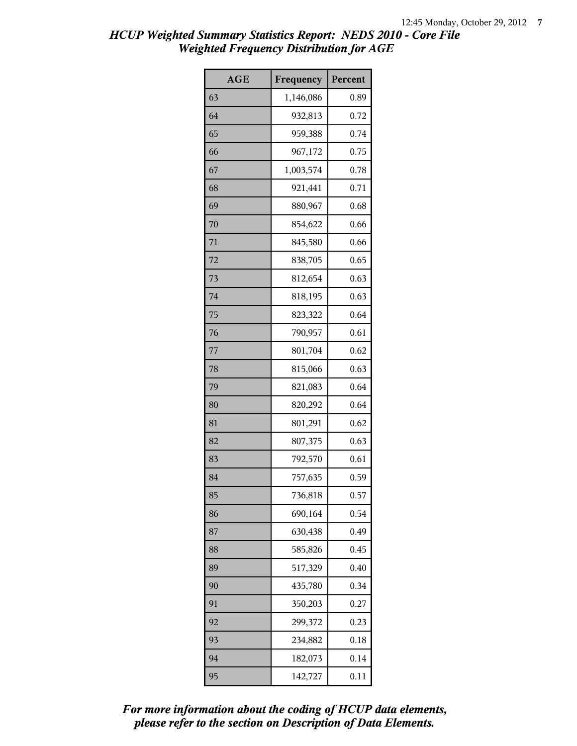| <b>AGE</b> | Frequency | Percent |
|------------|-----------|---------|
| 63         | 1,146,086 | 0.89    |
| 64         | 932,813   | 0.72    |
| 65         | 959,388   | 0.74    |
| 66         | 967,172   | 0.75    |
| 67         | 1,003,574 | 0.78    |
| 68         | 921,441   | 0.71    |
| 69         | 880,967   | 0.68    |
| 70         | 854,622   | 0.66    |
| 71         | 845,580   | 0.66    |
| 72         | 838,705   | 0.65    |
| 73         | 812,654   | 0.63    |
| 74         | 818,195   | 0.63    |
| 75         | 823,322   | 0.64    |
| 76         | 790,957   | 0.61    |
| 77         | 801,704   | 0.62    |
| 78         | 815,066   | 0.63    |
| 79         | 821,083   | 0.64    |
| 80         | 820,292   | 0.64    |
| 81         | 801,291   | 0.62    |
| 82         | 807,375   | 0.63    |
| 83         | 792,570   | 0.61    |
| 84         | 757,635   | 0.59    |
| 85         | 736,818   | 0.57    |
| 86         | 690,164   | 0.54    |
| 87         | 630,438   | 0.49    |
| 88         | 585,826   | 0.45    |
| 89         | 517,329   | 0.40    |
| 90         | 435,780   | 0.34    |
| 91         | 350,203   | 0.27    |
| 92         | 299,372   | 0.23    |
| 93         | 234,882   | 0.18    |
| 94         | 182,073   | 0.14    |
| 95         | 142,727   | 0.11    |

*please refer to the section on Description of Data Elements. For more information about the coding of HCUP data elements,*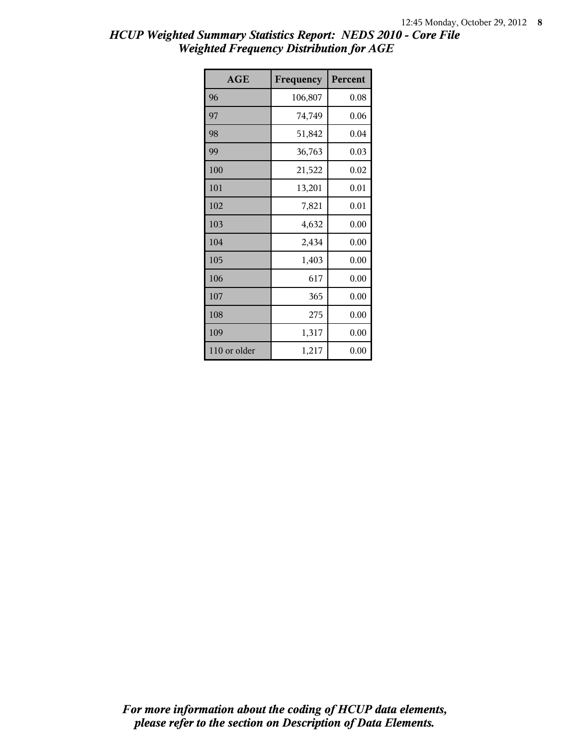| <b>AGE</b>   | Frequency | Percent |
|--------------|-----------|---------|
| 96           | 106,807   | 0.08    |
| 97           | 74,749    | 0.06    |
| 98           | 51,842    | 0.04    |
| 99           | 36,763    | 0.03    |
| 100          | 21,522    | 0.02    |
| 101          | 13,201    | 0.01    |
| 102          | 7,821     | 0.01    |
| 103          | 4,632     | 0.00    |
| 104          | 2,434     | 0.00    |
| 105          | 1,403     | 0.00    |
| 106          | 617       | 0.00    |
| 107          | 365       | 0.00    |
| 108          | 275       | 0.00    |
| 109          | 1,317     | 0.00    |
| 110 or older | 1,217     | 0.00    |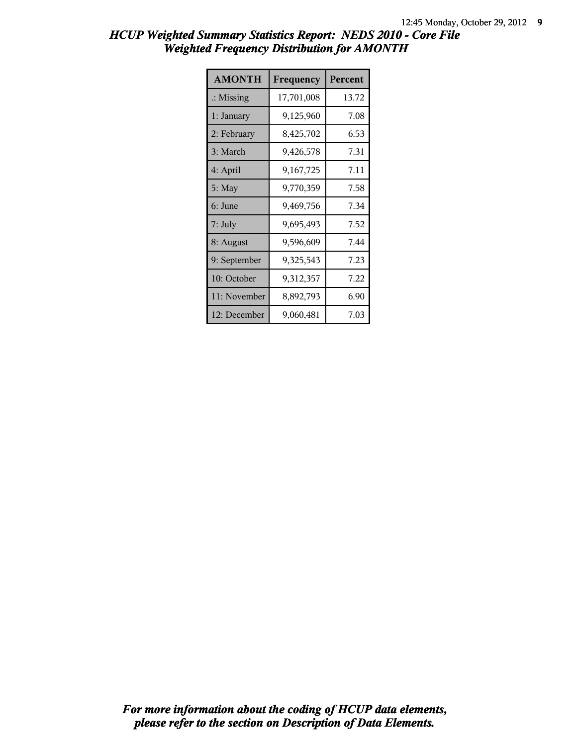| <b>AMONTH</b>        | Frequency  | Percent |
|----------------------|------------|---------|
| $\therefore$ Missing | 17,701,008 | 13.72   |
| 1: January           | 9,125,960  | 7.08    |
| 2: February          | 8,425,702  | 6.53    |
| 3: March             | 9,426,578  | 7.31    |
| 4: April             | 9,167,725  | 7.11    |
| $5:$ May             | 9,770,359  | 7.58    |
| 6: June              | 9,469,756  | 7.34    |
| 7: July              | 9,695,493  | 7.52    |
| 8: August            | 9,596,609  | 7.44    |
| 9: September         | 9,325,543  | 7.23    |
| 10: October          | 9,312,357  | 7.22    |
| 11: November         | 8,892,793  | 6.90    |
| 12: December         | 9,060,481  | 7.03    |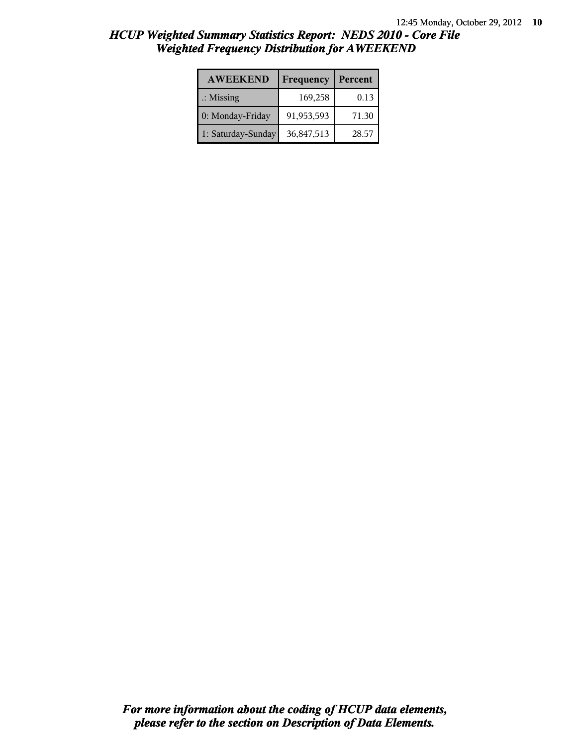| <b>AWEEKEND</b>      | Frequency  | Percent |
|----------------------|------------|---------|
| $\therefore$ Missing | 169,258    | 0.13    |
| 0: Monday-Friday     | 91,953,593 | 71.30   |
| 1: Saturday-Sunday   | 36,847,513 | 28.57   |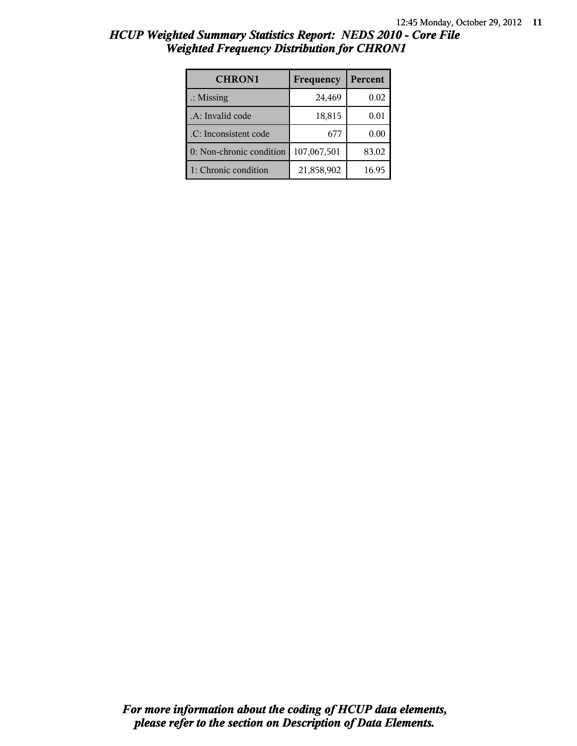| <b>CHRON1</b>            | Frequency   | Percent |
|--------------------------|-------------|---------|
| $\therefore$ Missing     | 24,469      | 0.02    |
| .A: Invalid code         | 18,815      | 0.01    |
| .C: Inconsistent code    | 677         | 0.00    |
| 0: Non-chronic condition | 107,067,501 | 83.02   |
| 1: Chronic condition     | 21,858,902  | 16.95   |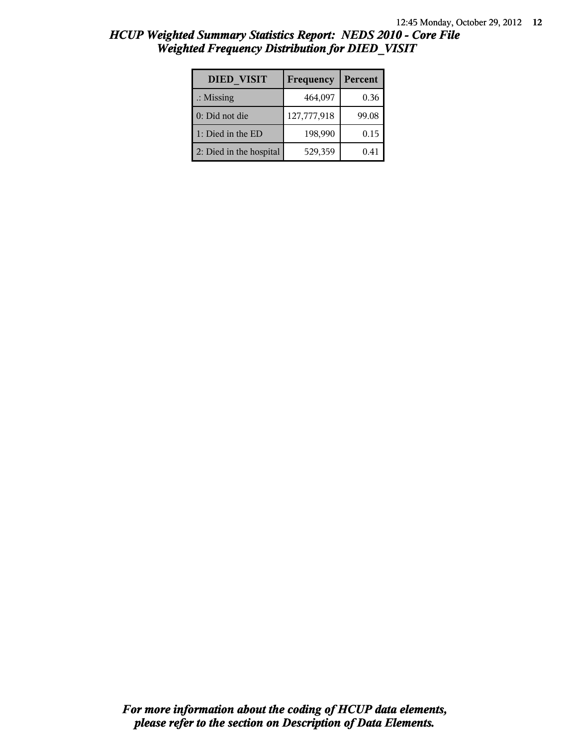| <b>DIED VISIT</b>       | Frequency   | Percent |
|-------------------------|-------------|---------|
| $\therefore$ Missing    | 464,097     | 0.36    |
| 0: Did not die          | 127,777,918 | 99.08   |
| 1: Died in the ED       | 198,990     | 0.15    |
| 2: Died in the hospital | 529,359     | 0.41    |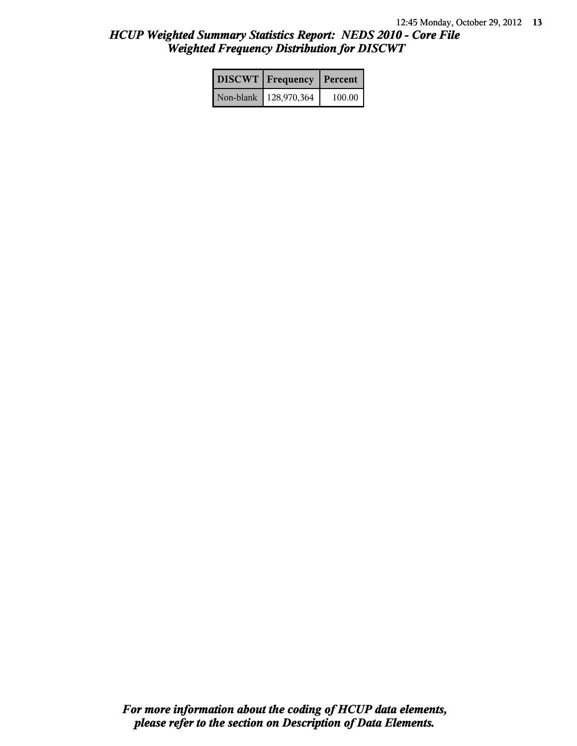| <b>DISCWT</b>   Frequency | Percent |
|---------------------------|---------|
| Non-blank   128,970,364   | 100.00  |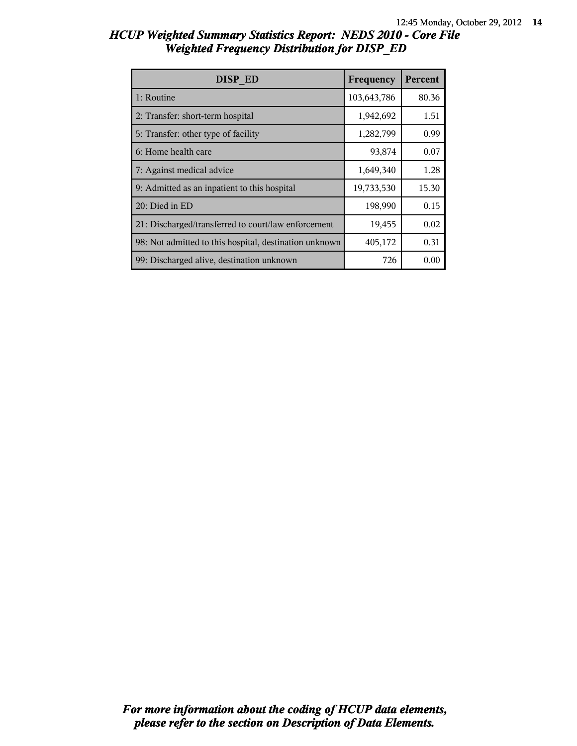| DISP ED                                                | Frequency   | Percent |
|--------------------------------------------------------|-------------|---------|
| 1: Routine                                             | 103,643,786 | 80.36   |
| 2: Transfer: short-term hospital                       | 1,942,692   | 1.51    |
| 5: Transfer: other type of facility                    | 1,282,799   | 0.99    |
| 6: Home health care                                    | 93,874      | 0.07    |
| 7: Against medical advice                              | 1,649,340   | 1.28    |
| 9: Admitted as an inpatient to this hospital           | 19,733,530  | 15.30   |
| 20: Died in ED                                         | 198,990     | 0.15    |
| 21: Discharged/transferred to court/law enforcement    | 19,455      | 0.02    |
| 98: Not admitted to this hospital, destination unknown | 405,172     | 0.31    |
| 99: Discharged alive, destination unknown              | 726         | 0.00    |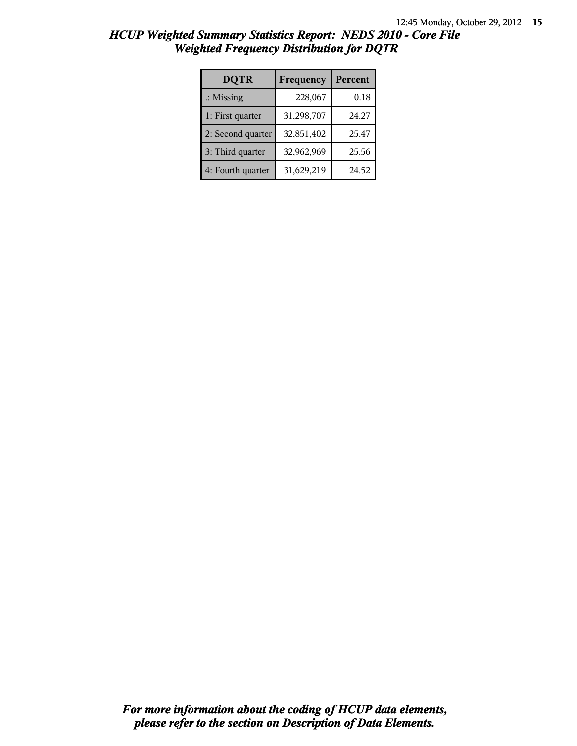| <b>DQTR</b>          | Frequency  | Percent |
|----------------------|------------|---------|
| $\therefore$ Missing | 228,067    | 0.18    |
| 1: First quarter     | 31,298,707 | 24.27   |
| 2: Second quarter    | 32,851,402 | 25.47   |
| 3: Third quarter     | 32,962,969 | 25.56   |
| 4: Fourth quarter    | 31,629,219 | 24.52   |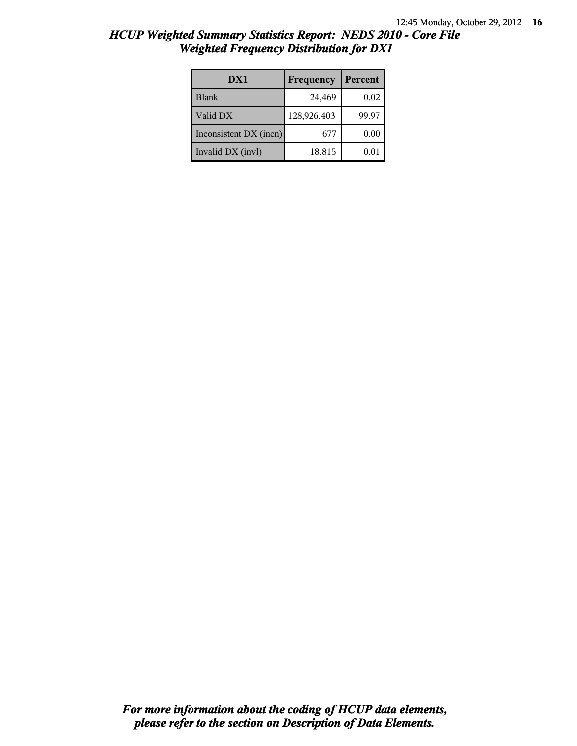| DX1                    | Frequency   | Percent    |
|------------------------|-------------|------------|
| Blank                  | 24,469      | 0.02       |
| Valid DX               | 128,926,403 | 99.97      |
| Inconsistent DX (incn) | 677         | 0.00       |
| Invalid DX (invl)      | 18,815      | $\rm 0.01$ |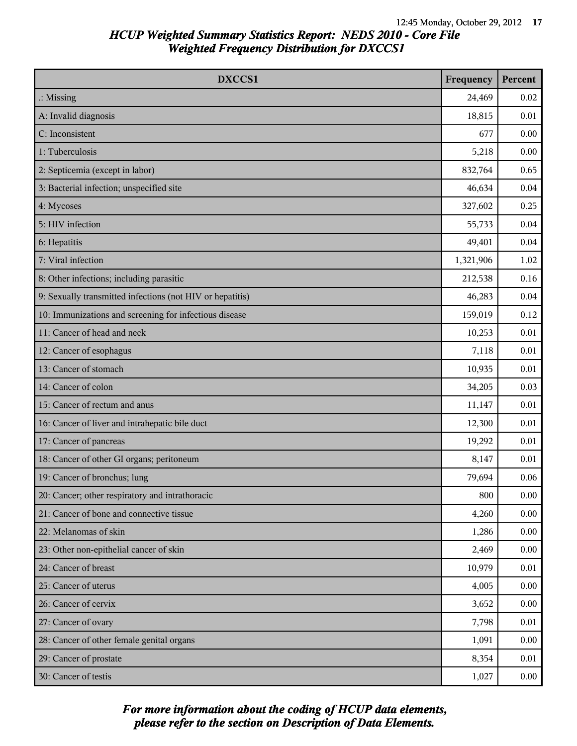| DXCCS1                                                    | Frequency | Percent  |
|-----------------------------------------------------------|-----------|----------|
| $\therefore$ Missing                                      | 24,469    | 0.02     |
| A: Invalid diagnosis                                      | 18,815    | 0.01     |
| C: Inconsistent                                           | 677       | 0.00     |
| 1: Tuberculosis                                           | 5,218     | 0.00     |
| 2: Septicemia (except in labor)                           | 832,764   | 0.65     |
| 3: Bacterial infection; unspecified site                  | 46,634    | 0.04     |
| 4: Mycoses                                                | 327,602   | 0.25     |
| 5: HIV infection                                          | 55,733    | 0.04     |
| 6: Hepatitis                                              | 49,401    | 0.04     |
| 7: Viral infection                                        | 1,321,906 | 1.02     |
| 8: Other infections; including parasitic                  | 212,538   | 0.16     |
| 9: Sexually transmitted infections (not HIV or hepatitis) | 46,283    | 0.04     |
| 10: Immunizations and screening for infectious disease    | 159,019   | 0.12     |
| 11: Cancer of head and neck                               | 10,253    | 0.01     |
| 12: Cancer of esophagus                                   | 7,118     | 0.01     |
| 13: Cancer of stomach                                     | 10,935    | 0.01     |
| 14: Cancer of colon                                       | 34,205    | 0.03     |
| 15: Cancer of rectum and anus                             | 11,147    | 0.01     |
| 16: Cancer of liver and intrahepatic bile duct            | 12,300    | 0.01     |
| 17: Cancer of pancreas                                    | 19,292    | 0.01     |
| 18: Cancer of other GI organs; peritoneum                 | 8,147     | 0.01     |
| 19: Cancer of bronchus; lung                              | 79,694    | 0.06     |
| 20: Cancer; other respiratory and intrathoracic           | 800       | 0.00     |
| 21: Cancer of bone and connective tissue                  | 4,260     | 0.00     |
| 22: Melanomas of skin                                     | 1,286     | 0.00     |
| 23: Other non-epithelial cancer of skin                   | 2,469     | 0.00     |
| 24: Cancer of breast                                      | 10,979    | 0.01     |
| 25: Cancer of uterus                                      | 4,005     | 0.00     |
| 26: Cancer of cervix                                      | 3,652     | 0.00     |
| 27: Cancer of ovary                                       | 7,798     | 0.01     |
| 28: Cancer of other female genital organs                 | 1,091     | 0.00     |
| 29: Cancer of prostate                                    | 8,354     | 0.01     |
| 30: Cancer of testis                                      | 1,027     | $0.00\,$ |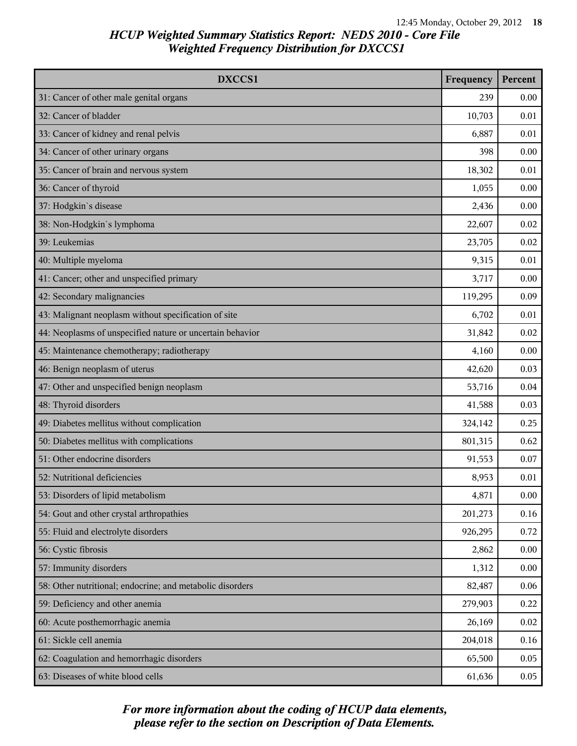| DXCCS1                                                    | Frequency | Percent |
|-----------------------------------------------------------|-----------|---------|
| 31: Cancer of other male genital organs                   | 239       | 0.00    |
| 32: Cancer of bladder                                     | 10,703    | 0.01    |
| 33: Cancer of kidney and renal pelvis                     | 6,887     | 0.01    |
| 34: Cancer of other urinary organs                        | 398       | 0.00    |
| 35: Cancer of brain and nervous system                    | 18,302    | 0.01    |
| 36: Cancer of thyroid                                     | 1,055     | 0.00    |
| 37: Hodgkin's disease                                     | 2,436     | 0.00    |
| 38: Non-Hodgkin's lymphoma                                | 22,607    | 0.02    |
| 39: Leukemias                                             | 23,705    | 0.02    |
| 40: Multiple myeloma                                      | 9,315     | 0.01    |
| 41: Cancer; other and unspecified primary                 | 3,717     | 0.00    |
| 42: Secondary malignancies                                | 119,295   | 0.09    |
| 43: Malignant neoplasm without specification of site      | 6,702     | 0.01    |
| 44: Neoplasms of unspecified nature or uncertain behavior | 31,842    | 0.02    |
| 45: Maintenance chemotherapy; radiotherapy                | 4,160     | 0.00    |
| 46: Benign neoplasm of uterus                             | 42,620    | 0.03    |
| 47: Other and unspecified benign neoplasm                 | 53,716    | 0.04    |
| 48: Thyroid disorders                                     | 41,588    | 0.03    |
| 49: Diabetes mellitus without complication                | 324,142   | 0.25    |
| 50: Diabetes mellitus with complications                  | 801,315   | 0.62    |
| 51: Other endocrine disorders                             | 91,553    | 0.07    |
| 52: Nutritional deficiencies                              | 8,953     | 0.01    |
| 53: Disorders of lipid metabolism                         | 4,871     | 0.00    |
| 54: Gout and other crystal arthropathies                  | 201,273   | 0.16    |
| 55: Fluid and electrolyte disorders                       | 926,295   | 0.72    |
| 56: Cystic fibrosis                                       | 2,862     | 0.00    |
| 57: Immunity disorders                                    | 1,312     | 0.00    |
| 58: Other nutritional; endocrine; and metabolic disorders | 82,487    | 0.06    |
| 59: Deficiency and other anemia                           | 279,903   | 0.22    |
| 60: Acute posthemorrhagic anemia                          | 26,169    | 0.02    |
| 61: Sickle cell anemia                                    | 204,018   | 0.16    |
| 62: Coagulation and hemorrhagic disorders                 | 65,500    | 0.05    |
| 63: Diseases of white blood cells                         | 61,636    | 0.05    |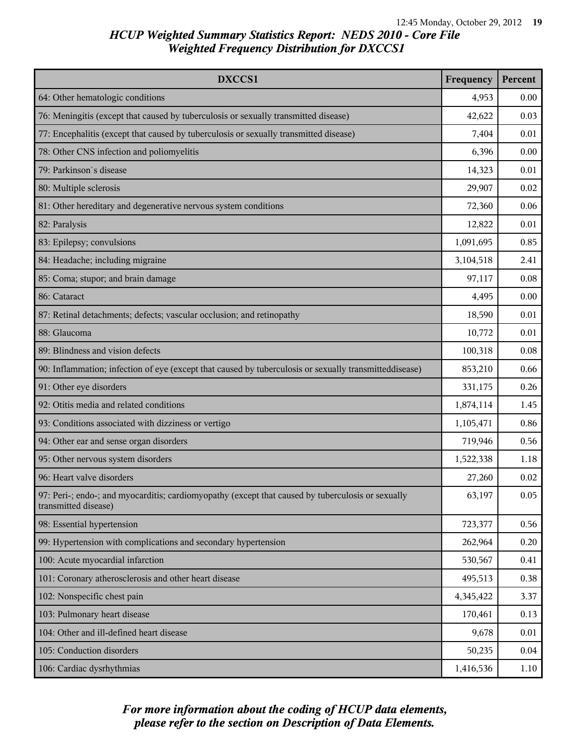| DXCCS1                                                                                                                    | Frequency | Percent |
|---------------------------------------------------------------------------------------------------------------------------|-----------|---------|
| 64: Other hematologic conditions                                                                                          | 4,953     | 0.00    |
| 76: Meningitis (except that caused by tuberculosis or sexually transmitted disease)                                       | 42,622    | 0.03    |
| 77: Encephalitis (except that caused by tuberculosis or sexually transmitted disease)                                     | 7,404     | 0.01    |
| 78: Other CNS infection and poliomyelitis                                                                                 | 6,396     | 0.00    |
| 79: Parkinson's disease                                                                                                   | 14,323    | 0.01    |
| 80: Multiple sclerosis                                                                                                    | 29,907    | 0.02    |
| 81: Other hereditary and degenerative nervous system conditions                                                           | 72,360    | 0.06    |
| 82: Paralysis                                                                                                             | 12,822    | 0.01    |
| 83: Epilepsy; convulsions                                                                                                 | 1,091,695 | 0.85    |
| 84: Headache; including migraine                                                                                          | 3,104,518 | 2.41    |
| 85: Coma; stupor; and brain damage                                                                                        | 97,117    | 0.08    |
| 86: Cataract                                                                                                              | 4,495     | 0.00    |
| 87: Retinal detachments; defects; vascular occlusion; and retinopathy                                                     | 18,590    | 0.01    |
| 88: Glaucoma                                                                                                              | 10,772    | 0.01    |
| 89: Blindness and vision defects                                                                                          | 100,318   | 0.08    |
| 90: Inflammation; infection of eye (except that caused by tuberculosis or sexually transmitteddisease)                    | 853,210   | 0.66    |
| 91: Other eye disorders                                                                                                   | 331,175   | 0.26    |
| 92: Otitis media and related conditions                                                                                   | 1,874,114 | 1.45    |
| 93: Conditions associated with dizziness or vertigo                                                                       | 1,105,471 | 0.86    |
| 94: Other ear and sense organ disorders                                                                                   | 719,946   | 0.56    |
| 95: Other nervous system disorders                                                                                        | 1,522,338 | 1.18    |
| 96: Heart valve disorders                                                                                                 | 27,260    | 0.02    |
| 97: Peri-; endo-; and myocarditis; cardiomyopathy (except that caused by tuberculosis or sexually<br>transmitted disease) | 63,197    | 0.05    |
| 98: Essential hypertension                                                                                                | 723,377   | 0.56    |
| 99: Hypertension with complications and secondary hypertension                                                            | 262,964   | 0.20    |
| 100: Acute myocardial infarction                                                                                          | 530,567   | 0.41    |
| 101: Coronary atherosclerosis and other heart disease                                                                     | 495,513   | 0.38    |
| 102: Nonspecific chest pain                                                                                               | 4,345,422 | 3.37    |
| 103: Pulmonary heart disease                                                                                              | 170,461   | 0.13    |
| 104: Other and ill-defined heart disease                                                                                  | 9,678     | 0.01    |
| 105: Conduction disorders                                                                                                 | 50,235    | 0.04    |
| 106: Cardiac dysrhythmias                                                                                                 | 1,416,536 | 1.10    |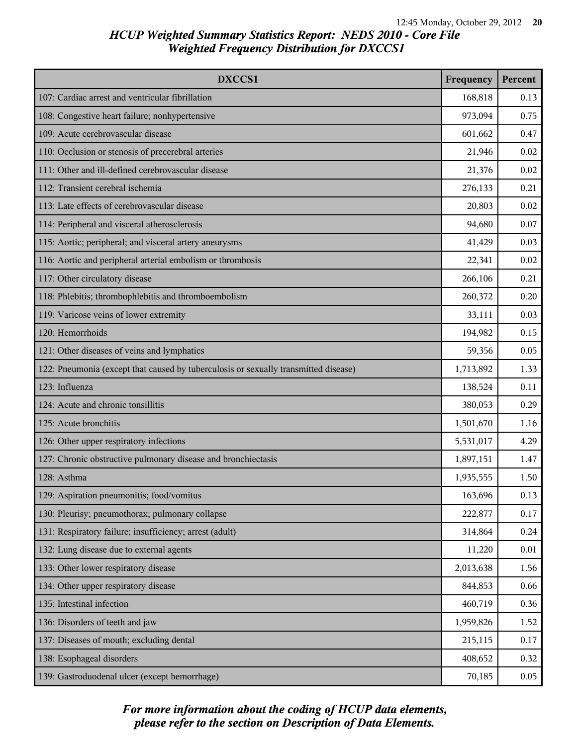| DXCCS1                                                                              | Frequency | Percent |
|-------------------------------------------------------------------------------------|-----------|---------|
| 107: Cardiac arrest and ventricular fibrillation                                    | 168,818   | 0.13    |
| 108: Congestive heart failure; nonhypertensive                                      | 973,094   | 0.75    |
| 109: Acute cerebrovascular disease                                                  | 601,662   | 0.47    |
| 110: Occlusion or stenosis of precerebral arteries                                  | 21,946    | 0.02    |
| 111: Other and ill-defined cerebrovascular disease                                  | 21,376    | 0.02    |
| 112: Transient cerebral ischemia                                                    | 276,133   | 0.21    |
| 113: Late effects of cerebrovascular disease                                        | 20,803    | 0.02    |
| 114: Peripheral and visceral atherosclerosis                                        | 94,680    | 0.07    |
| 115: Aortic; peripheral; and visceral artery aneurysms                              | 41,429    | 0.03    |
| 116: Aortic and peripheral arterial embolism or thrombosis                          | 22,341    | 0.02    |
| 117: Other circulatory disease                                                      | 266,106   | 0.21    |
| 118: Phlebitis; thrombophlebitis and thromboembolism                                | 260,372   | 0.20    |
| 119: Varicose veins of lower extremity                                              | 33,111    | 0.03    |
| 120: Hemorrhoids                                                                    | 194,982   | 0.15    |
| 121: Other diseases of veins and lymphatics                                         | 59,356    | 0.05    |
| 122: Pneumonia (except that caused by tuberculosis or sexually transmitted disease) | 1,713,892 | 1.33    |
| 123: Influenza                                                                      | 138,524   | 0.11    |
| 124: Acute and chronic tonsillitis                                                  | 380,053   | 0.29    |
| 125: Acute bronchitis                                                               | 1,501,670 | 1.16    |
| 126: Other upper respiratory infections                                             | 5,531,017 | 4.29    |
| 127: Chronic obstructive pulmonary disease and bronchiectasis                       | 1,897,151 | 1.47    |
| 128: Asthma                                                                         | 1,935,555 | 1.50    |
| 129: Aspiration pneumonitis; food/vomitus                                           | 163,696   | 0.13    |
| 130: Pleurisy; pneumothorax; pulmonary collapse                                     | 222,877   | 0.17    |
| 131: Respiratory failure; insufficiency; arrest (adult)                             | 314,864   | 0.24    |
| 132: Lung disease due to external agents                                            | 11,220    | 0.01    |
| 133: Other lower respiratory disease                                                | 2,013,638 | 1.56    |
| 134: Other upper respiratory disease                                                | 844,853   | 0.66    |
| 135: Intestinal infection                                                           | 460,719   | 0.36    |
| 136: Disorders of teeth and jaw                                                     | 1,959,826 | 1.52    |
| 137: Diseases of mouth; excluding dental                                            | 215,115   | 0.17    |
| 138: Esophageal disorders                                                           | 408,652   | 0.32    |
| 139: Gastroduodenal ulcer (except hemorrhage)                                       | 70,185    | 0.05    |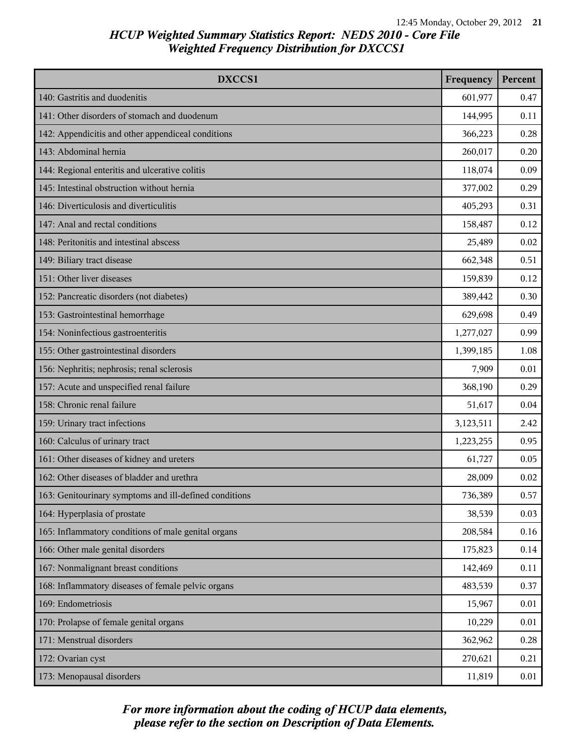| DXCCS1                                                 | Frequency | Percent |
|--------------------------------------------------------|-----------|---------|
| 140: Gastritis and duodenitis                          | 601,977   | 0.47    |
| 141: Other disorders of stomach and duodenum           | 144,995   | 0.11    |
| 142: Appendicitis and other appendiceal conditions     | 366,223   | 0.28    |
| 143: Abdominal hernia                                  | 260,017   | 0.20    |
| 144: Regional enteritis and ulcerative colitis         | 118,074   | 0.09    |
| 145: Intestinal obstruction without hernia             | 377,002   | 0.29    |
| 146: Diverticulosis and diverticulitis                 | 405,293   | 0.31    |
| 147: Anal and rectal conditions                        | 158,487   | 0.12    |
| 148: Peritonitis and intestinal abscess                | 25,489    | 0.02    |
| 149: Biliary tract disease                             | 662,348   | 0.51    |
| 151: Other liver diseases                              | 159,839   | 0.12    |
| 152: Pancreatic disorders (not diabetes)               | 389,442   | 0.30    |
| 153: Gastrointestinal hemorrhage                       | 629,698   | 0.49    |
| 154: Noninfectious gastroenteritis                     | 1,277,027 | 0.99    |
| 155: Other gastrointestinal disorders                  | 1,399,185 | 1.08    |
| 156: Nephritis; nephrosis; renal sclerosis             | 7,909     | 0.01    |
| 157: Acute and unspecified renal failure               | 368,190   | 0.29    |
| 158: Chronic renal failure                             | 51,617    | 0.04    |
| 159: Urinary tract infections                          | 3,123,511 | 2.42    |
| 160: Calculus of urinary tract                         | 1,223,255 | 0.95    |
| 161: Other diseases of kidney and ureters              | 61,727    | 0.05    |
| 162: Other diseases of bladder and urethra             | 28,009    | 0.02    |
| 163: Genitourinary symptoms and ill-defined conditions | 736,389   | 0.57    |
| 164: Hyperplasia of prostate                           | 38,539    | 0.03    |
| 165: Inflammatory conditions of male genital organs    | 208,584   | 0.16    |
| 166: Other male genital disorders                      | 175,823   | 0.14    |
| 167: Nonmalignant breast conditions                    | 142,469   | 0.11    |
| 168: Inflammatory diseases of female pelvic organs     | 483,539   | 0.37    |
| 169: Endometriosis                                     | 15,967    | 0.01    |
| 170: Prolapse of female genital organs                 | 10,229    | 0.01    |
| 171: Menstrual disorders                               | 362,962   | 0.28    |
| 172: Ovarian cyst                                      | 270,621   | 0.21    |
| 173: Menopausal disorders                              | 11,819    | 0.01    |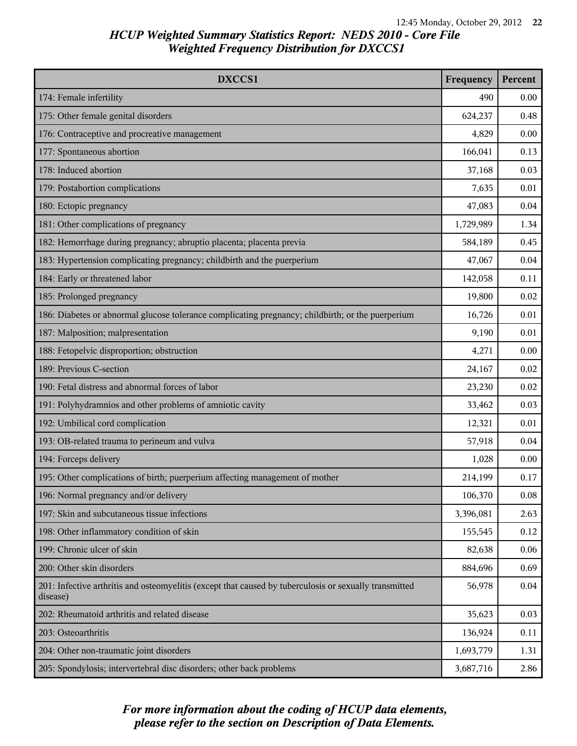| DXCCS1                                                                                                             | Frequency | Percent |
|--------------------------------------------------------------------------------------------------------------------|-----------|---------|
| 174: Female infertility                                                                                            | 490       | 0.00    |
| 175: Other female genital disorders                                                                                | 624,237   | 0.48    |
| 176: Contraceptive and procreative management                                                                      | 4,829     | 0.00    |
| 177: Spontaneous abortion                                                                                          | 166,041   | 0.13    |
| 178: Induced abortion                                                                                              | 37,168    | 0.03    |
| 179: Postabortion complications                                                                                    | 7,635     | 0.01    |
| 180: Ectopic pregnancy                                                                                             | 47,083    | 0.04    |
| 181: Other complications of pregnancy                                                                              | 1,729,989 | 1.34    |
| 182: Hemorrhage during pregnancy; abruptio placenta; placenta previa                                               | 584,189   | 0.45    |
| 183: Hypertension complicating pregnancy; childbirth and the puerperium                                            | 47,067    | 0.04    |
| 184: Early or threatened labor                                                                                     | 142,058   | 0.11    |
| 185: Prolonged pregnancy                                                                                           | 19,800    | 0.02    |
| 186: Diabetes or abnormal glucose tolerance complicating pregnancy; childbirth; or the puerperium                  | 16,726    | 0.01    |
| 187: Malposition; malpresentation                                                                                  | 9,190     | 0.01    |
| 188: Fetopelvic disproportion; obstruction                                                                         | 4,271     | 0.00    |
| 189: Previous C-section                                                                                            | 24,167    | 0.02    |
| 190: Fetal distress and abnormal forces of labor                                                                   | 23,230    | 0.02    |
| 191: Polyhydramnios and other problems of amniotic cavity                                                          | 33,462    | 0.03    |
| 192: Umbilical cord complication                                                                                   | 12,321    | 0.01    |
| 193: OB-related trauma to perineum and vulva                                                                       | 57,918    | 0.04    |
| 194: Forceps delivery                                                                                              | 1,028     | 0.00    |
| 195: Other complications of birth; puerperium affecting management of mother                                       | 214,199   | 0.17    |
| 196: Normal pregnancy and/or delivery                                                                              | 106,370   | 0.08    |
| 197: Skin and subcutaneous tissue infections                                                                       | 3,396,081 | 2.63    |
| 198: Other inflammatory condition of skin                                                                          | 155,545   | 0.12    |
| 199: Chronic ulcer of skin                                                                                         | 82,638    | 0.06    |
| 200: Other skin disorders                                                                                          | 884,696   | 0.69    |
| 201: Infective arthritis and osteomyelitis (except that caused by tuberculosis or sexually transmitted<br>disease) | 56,978    | 0.04    |
| 202: Rheumatoid arthritis and related disease                                                                      | 35,623    | 0.03    |
| 203: Osteoarthritis                                                                                                | 136,924   | 0.11    |
| 204: Other non-traumatic joint disorders                                                                           | 1,693,779 | 1.31    |
| 205: Spondylosis; intervertebral disc disorders; other back problems                                               | 3,687,716 | 2.86    |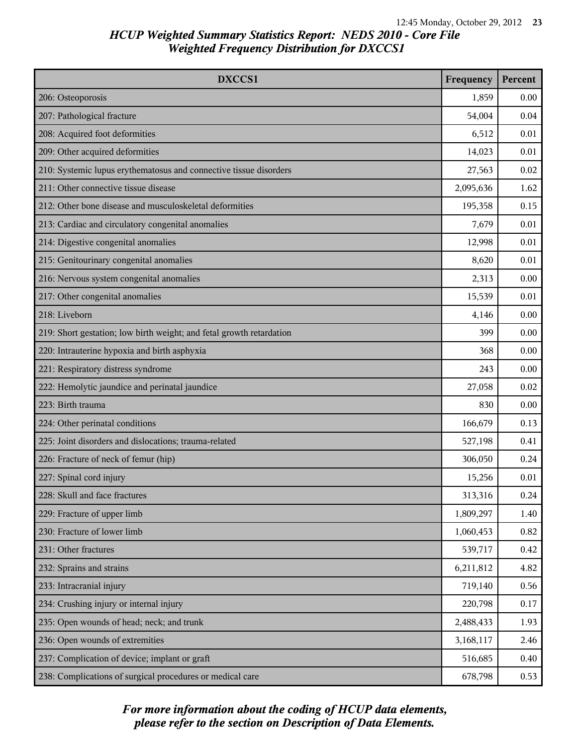| DXCCS1                                                               | Frequency | Percent |
|----------------------------------------------------------------------|-----------|---------|
| 206: Osteoporosis                                                    | 1,859     | 0.00    |
| 207: Pathological fracture                                           | 54,004    | 0.04    |
| 208: Acquired foot deformities                                       | 6,512     | 0.01    |
| 209: Other acquired deformities                                      | 14,023    | 0.01    |
| 210: Systemic lupus erythematosus and connective tissue disorders    | 27,563    | 0.02    |
| 211: Other connective tissue disease                                 | 2,095,636 | 1.62    |
| 212: Other bone disease and musculoskeletal deformities              | 195,358   | 0.15    |
| 213: Cardiac and circulatory congenital anomalies                    | 7,679     | 0.01    |
| 214: Digestive congenital anomalies                                  | 12,998    | 0.01    |
| 215: Genitourinary congenital anomalies                              | 8,620     | 0.01    |
| 216: Nervous system congenital anomalies                             | 2,313     | 0.00    |
| 217: Other congenital anomalies                                      | 15,539    | 0.01    |
| 218: Liveborn                                                        | 4,146     | 0.00    |
| 219: Short gestation; low birth weight; and fetal growth retardation | 399       | 0.00    |
| 220: Intrauterine hypoxia and birth asphyxia                         | 368       | 0.00    |
| 221: Respiratory distress syndrome                                   | 243       | 0.00    |
| 222: Hemolytic jaundice and perinatal jaundice                       | 27,058    | 0.02    |
| 223: Birth trauma                                                    | 830       | 0.00    |
| 224: Other perinatal conditions                                      | 166,679   | 0.13    |
| 225: Joint disorders and dislocations; trauma-related                | 527,198   | 0.41    |
| 226: Fracture of neck of femur (hip)                                 | 306,050   | 0.24    |
| 227: Spinal cord injury                                              | 15,256    | 0.01    |
| 228: Skull and face fractures                                        | 313,316   | 0.24    |
| 229: Fracture of upper limb                                          | 1,809,297 | 1.40    |
| 230: Fracture of lower limb                                          | 1,060,453 | 0.82    |
| 231: Other fractures                                                 | 539,717   | 0.42    |
| 232: Sprains and strains                                             | 6,211,812 | 4.82    |
| 233: Intracranial injury                                             | 719,140   | 0.56    |
| 234: Crushing injury or internal injury                              | 220,798   | 0.17    |
| 235: Open wounds of head; neck; and trunk                            | 2,488,433 | 1.93    |
| 236: Open wounds of extremities                                      | 3,168,117 | 2.46    |
| 237: Complication of device; implant or graft                        | 516,685   | 0.40    |
| 238: Complications of surgical procedures or medical care            | 678,798   | 0.53    |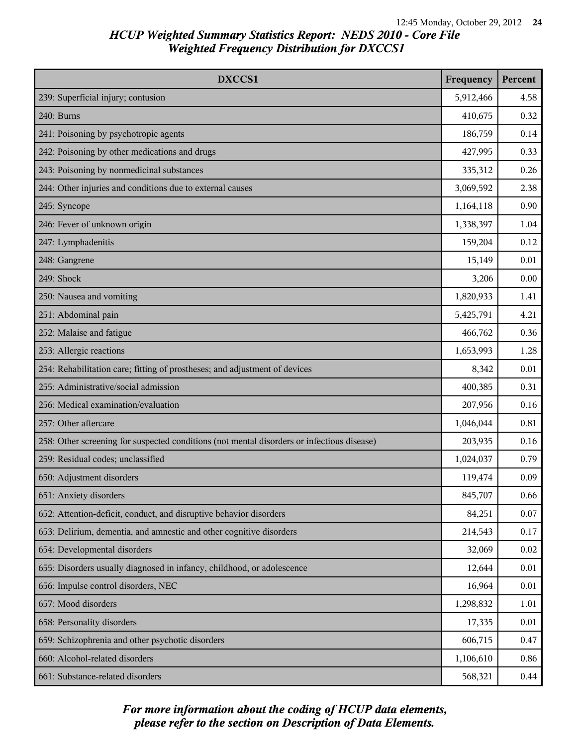| DXCCS1                                                                                     | Frequency | Percent |
|--------------------------------------------------------------------------------------------|-----------|---------|
| 239: Superficial injury; contusion                                                         | 5,912,466 | 4.58    |
| 240: Burns                                                                                 | 410,675   | 0.32    |
| 241: Poisoning by psychotropic agents                                                      | 186,759   | 0.14    |
| 242: Poisoning by other medications and drugs                                              | 427,995   | 0.33    |
| 243: Poisoning by nonmedicinal substances                                                  | 335,312   | 0.26    |
| 244: Other injuries and conditions due to external causes                                  | 3,069,592 | 2.38    |
| 245: Syncope                                                                               | 1,164,118 | 0.90    |
| 246: Fever of unknown origin                                                               | 1,338,397 | 1.04    |
| 247: Lymphadenitis                                                                         | 159,204   | 0.12    |
| 248: Gangrene                                                                              | 15,149    | 0.01    |
| 249: Shock                                                                                 | 3,206     | 0.00    |
| 250: Nausea and vomiting                                                                   | 1,820,933 | 1.41    |
| 251: Abdominal pain                                                                        | 5,425,791 | 4.21    |
| 252: Malaise and fatigue                                                                   | 466,762   | 0.36    |
| 253: Allergic reactions                                                                    | 1,653,993 | 1.28    |
| 254: Rehabilitation care; fitting of prostheses; and adjustment of devices                 | 8,342     | 0.01    |
| 255: Administrative/social admission                                                       | 400,385   | 0.31    |
| 256: Medical examination/evaluation                                                        | 207,956   | 0.16    |
| 257: Other aftercare                                                                       | 1,046,044 | 0.81    |
| 258: Other screening for suspected conditions (not mental disorders or infectious disease) | 203,935   | 0.16    |
| 259: Residual codes; unclassified                                                          | 1,024,037 | 0.79    |
| 650: Adjustment disorders                                                                  | 119,474   | 0.09    |
| 651: Anxiety disorders                                                                     | 845,707   | 0.66    |
| 652: Attention-deficit, conduct, and disruptive behavior disorders                         | 84,251    | 0.07    |
| 653: Delirium, dementia, and amnestic and other cognitive disorders                        | 214,543   | 0.17    |
| 654: Developmental disorders                                                               | 32,069    | 0.02    |
| 655: Disorders usually diagnosed in infancy, childhood, or adolescence                     | 12,644    | 0.01    |
| 656: Impulse control disorders, NEC                                                        | 16,964    | 0.01    |
| 657: Mood disorders                                                                        | 1,298,832 | 1.01    |
| 658: Personality disorders                                                                 | 17,335    | 0.01    |
| 659: Schizophrenia and other psychotic disorders                                           | 606,715   | 0.47    |
| 660: Alcohol-related disorders                                                             | 1,106,610 | 0.86    |
| 661: Substance-related disorders                                                           | 568,321   | 0.44    |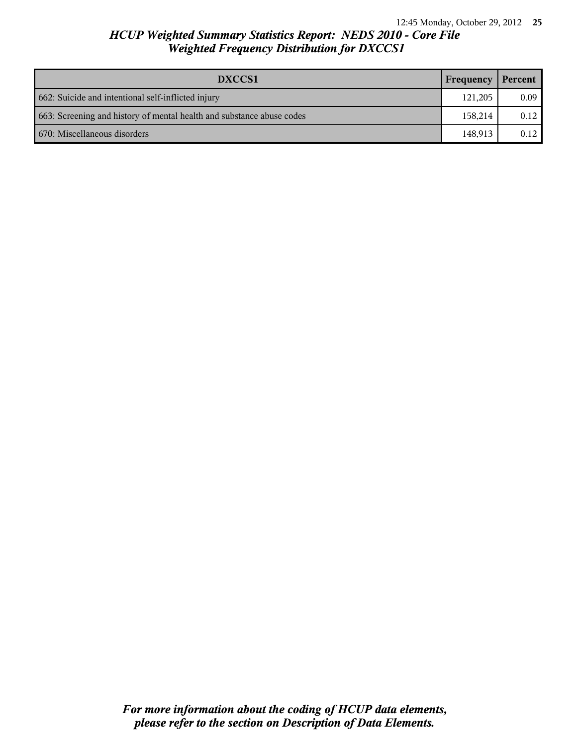| DXCCS1                                                                | Frequency | Percent |
|-----------------------------------------------------------------------|-----------|---------|
| 662: Suicide and intentional self-inflicted injury                    | 121,205   | 0.09    |
| 663: Screening and history of mental health and substance abuse codes | 158.214   | 0.12    |
| 670: Miscellaneous disorders                                          | 148.913   | 0.12    |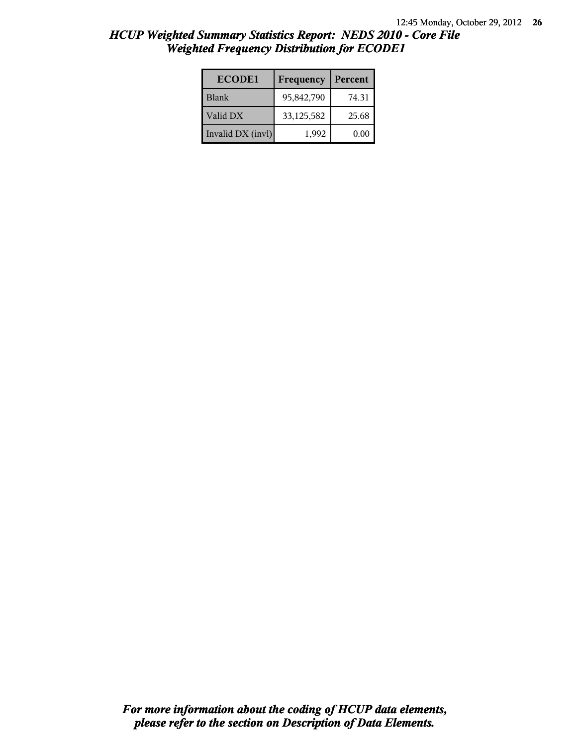| <b>ECODE1</b>     | Frequency  | Percent |
|-------------------|------------|---------|
| <b>Blank</b>      | 95,842,790 | 74.31   |
| Valid DX          | 33,125,582 | 25.68   |
| Invalid DX (invl) | 1.992      | 0.00    |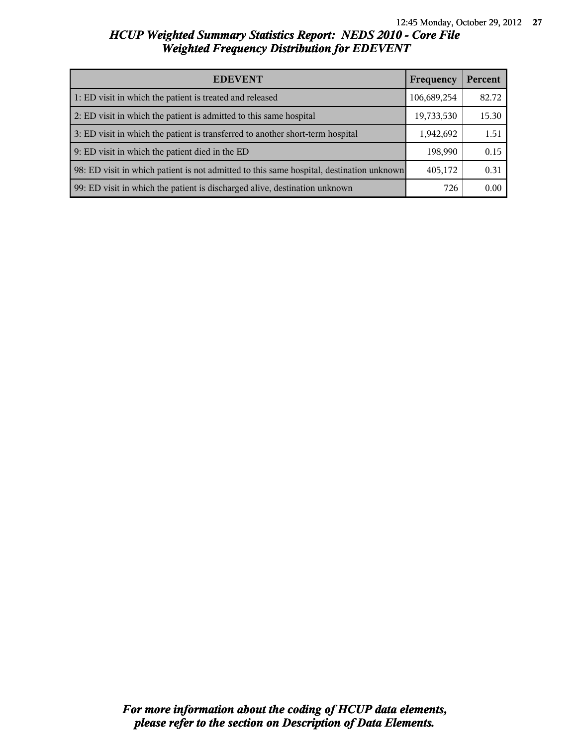| <b>EDEVENT</b>                                                                           | Frequency   | Percent |
|------------------------------------------------------------------------------------------|-------------|---------|
| 1: ED visit in which the patient is treated and released                                 | 106,689,254 | 82.72   |
| 2: ED visit in which the patient is admitted to this same hospital                       | 19,733,530  | 15.30   |
| 3: ED visit in which the patient is transferred to another short-term hospital           | 1,942,692   | 1.51    |
| 9: ED visit in which the patient died in the ED                                          | 198,990     | 0.15    |
| 98: ED visit in which patient is not admitted to this same hospital, destination unknown | 405,172     | 0.31    |
| 99: ED visit in which the patient is discharged alive, destination unknown               | 726         | 0.00    |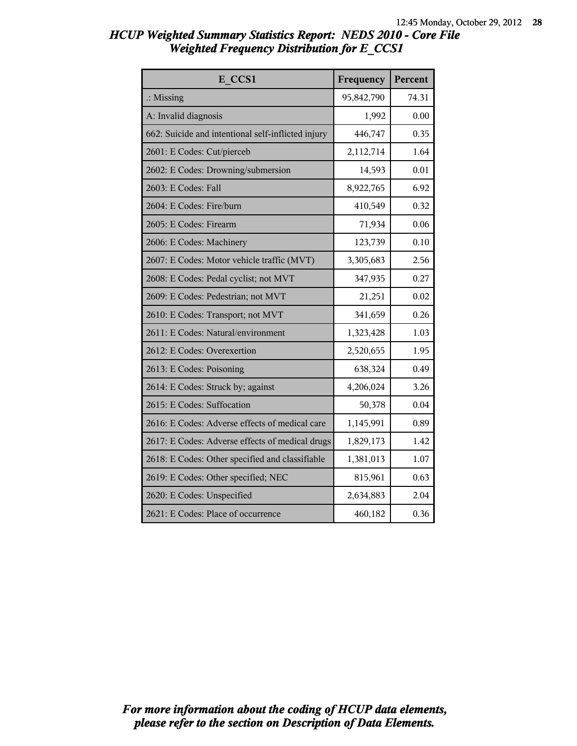| E CCS1                                             | Frequency  | Percent |
|----------------------------------------------------|------------|---------|
| $\therefore$ Missing                               | 95,842,790 | 74.31   |
| A: Invalid diagnosis                               | 1,992      | 0.00    |
| 662: Suicide and intentional self-inflicted injury | 446,747    | 0.35    |
| 2601: E Codes: Cut/pierceb                         | 2,112,714  | 1.64    |
| 2602: E Codes: Drowning/submersion                 | 14,593     | 0.01    |
| 2603: E Codes: Fall                                | 8,922,765  | 6.92    |
| 2604: E Codes: Fire/burn                           | 410,549    | 0.32    |
| 2605: E Codes: Firearm                             | 71,934     | 0.06    |
| 2606: E Codes: Machinery                           | 123,739    | 0.10    |
| 2607: E Codes: Motor vehicle traffic (MVT)         | 3,305,683  | 2.56    |
| 2608: E Codes: Pedal cyclist; not MVT              | 347,935    | 0.27    |
| 2609: E Codes: Pedestrian; not MVT                 | 21,251     | 0.02    |
| 2610: E Codes: Transport; not MVT                  | 341,659    | 0.26    |
| 2611: E Codes: Natural/environment                 | 1,323,428  | 1.03    |
| 2612: E Codes: Overexertion                        | 2,520,655  | 1.95    |
| 2613: E Codes: Poisoning                           | 638,324    | 0.49    |
| 2614: E Codes: Struck by; against                  | 4,206,024  | 3.26    |
| 2615: E Codes: Suffocation                         | 50,378     | 0.04    |
| 2616: E Codes: Adverse effects of medical care     | 1,145,991  | 0.89    |
| 2617: E Codes: Adverse effects of medical drugs    | 1,829,173  | 1.42    |
| 2618: E Codes: Other specified and classifiable    | 1,381,013  | 1.07    |
| 2619: E Codes: Other specified; NEC                | 815,961    | 0.63    |
| 2620: E Codes: Unspecified                         | 2,634,883  | 2.04    |
| 2621: E Codes: Place of occurrence                 | 460,182    | 0.36    |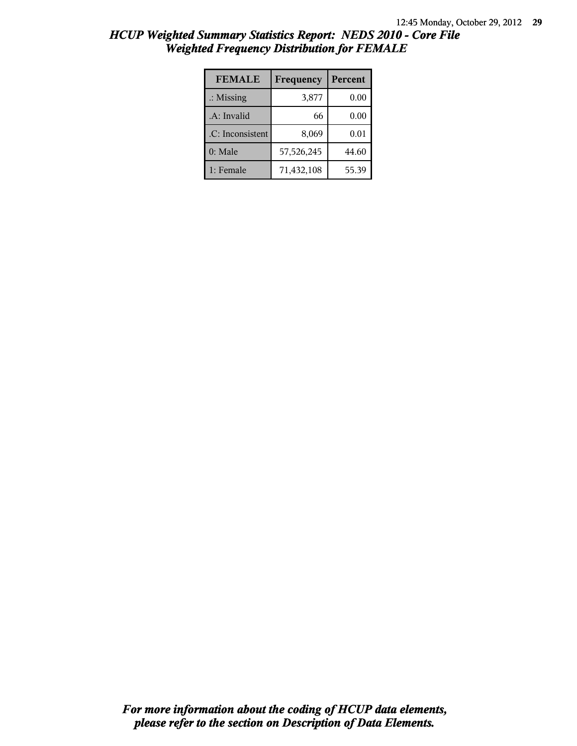| <b>FEMALE</b>        | Frequency  | Percent |
|----------------------|------------|---------|
| $\therefore$ Missing | 3,877      | 0.00    |
| .A: Invalid          | 66         | 0.00    |
| .C: Inconsistent     | 8,069      | 0.01    |
| 0: Male              | 57,526,245 | 44.60   |
| 1: Female            | 71,432,108 | 55.39   |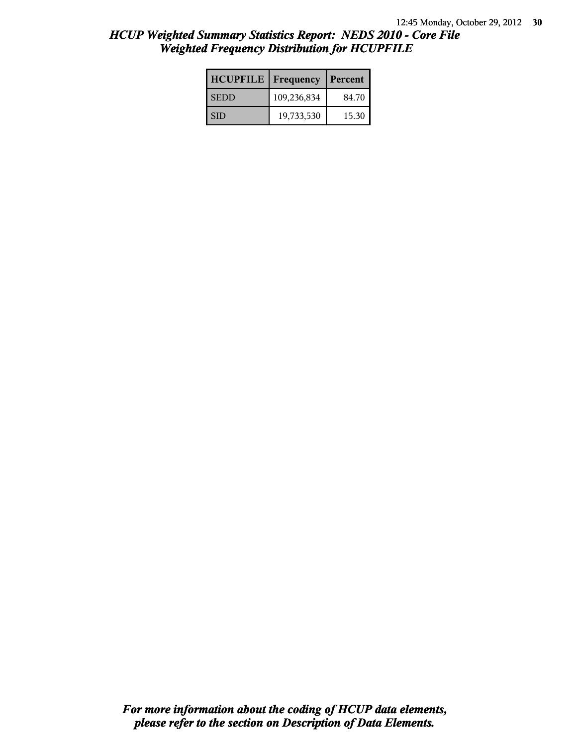| <b>HCUPFILE</b> | <b>Frequency</b> | Percent |
|-----------------|------------------|---------|
| <b>SEDD</b>     | 109,236,834      | 84.70   |
| l SID           | 19,733,530       | 15.30   |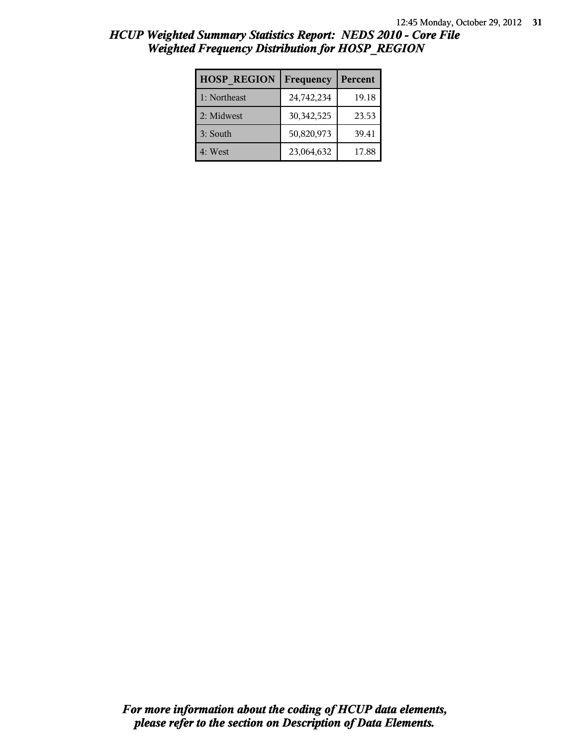| <b>HOSP REGION</b> | Frequency  | Percent |
|--------------------|------------|---------|
| 1: Northeast       | 24,742,234 | 19.18   |
| 2: Midwest         | 30,342,525 | 23.53   |
| 3: South           | 50,820,973 | 39.41   |
| 4: West            | 23,064,632 | 17.88   |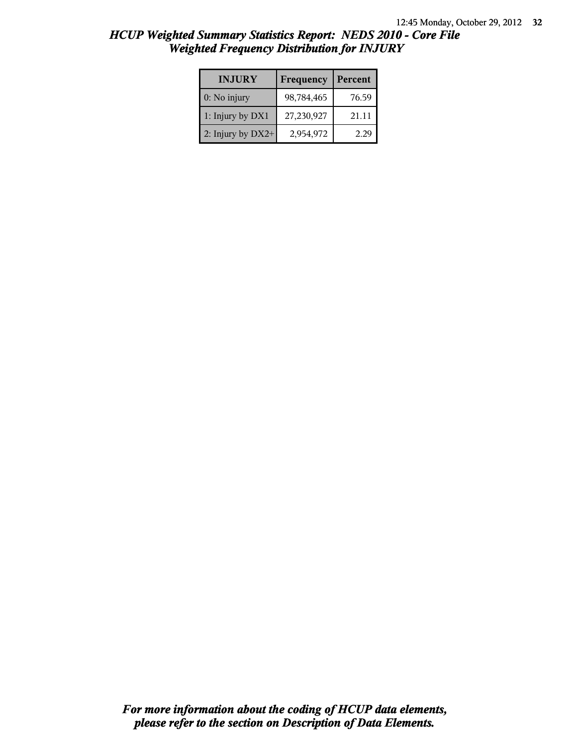| HCUP Weighted Summary Statistics Report: NEDS 2010 - Core File |  |  |
|----------------------------------------------------------------|--|--|
| <b>Weighted Frequency Distribution for INJURY</b>              |  |  |

| <b>INJURY</b>       | Frequency  | Percent |
|---------------------|------------|---------|
| $0:$ No injury      | 98,784,465 | 76.59   |
| 1: Injury by DX1    | 27,230,927 | 21.11   |
| 2: Injury by $DX2+$ | 2,954,972  | 229     |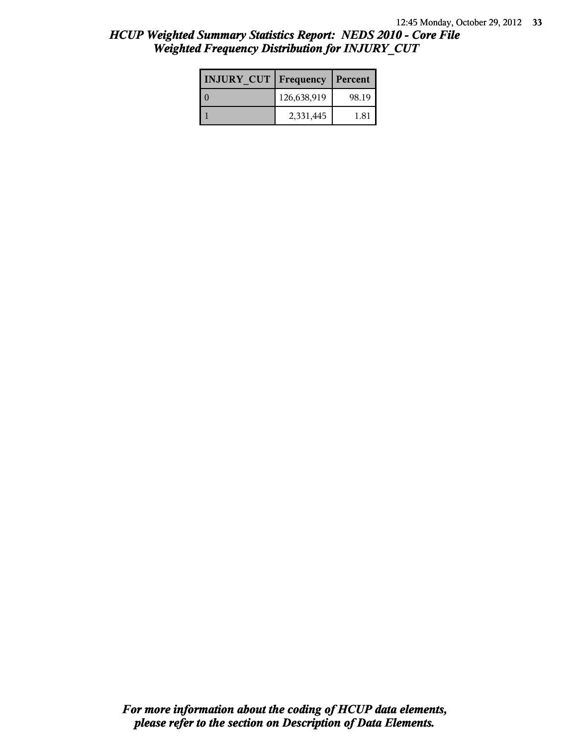| <b>INJURY CUT Frequency</b> |             | Percent |
|-----------------------------|-------------|---------|
|                             | 126,638,919 | 98.19   |
|                             | 2,331,445   | 181     |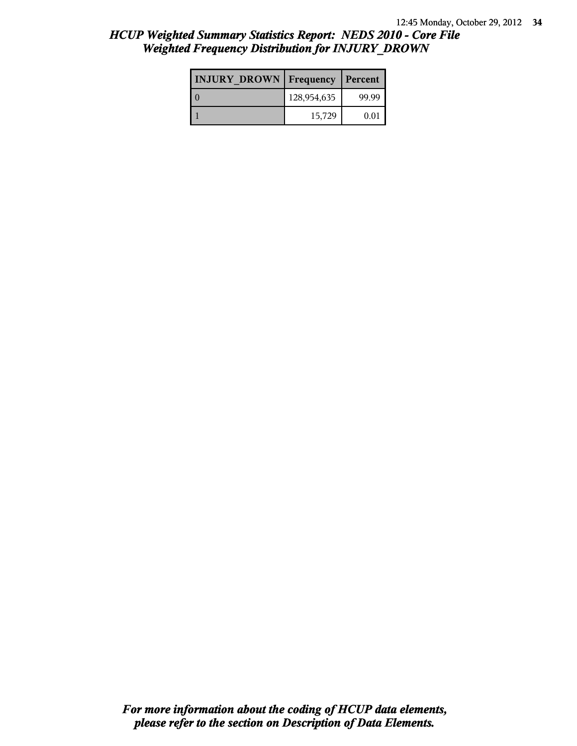| <b>INJURY DROWN</b> | Frequency   | Percent |
|---------------------|-------------|---------|
|                     | 128,954,635 | 99.99   |
|                     | 15,729      | 0.01    |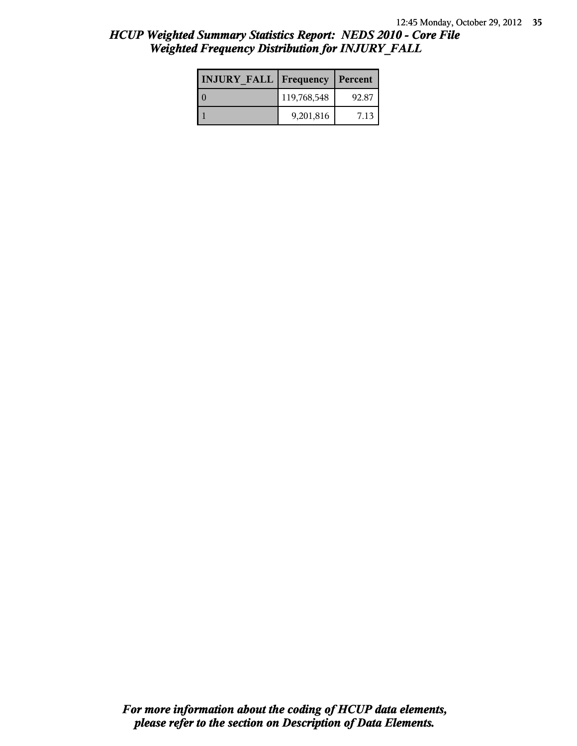| <b>INJURY FALL   Frequency   Percent</b> |             |       |
|------------------------------------------|-------------|-------|
|                                          | 119,768,548 | 92.87 |
|                                          | 9,201,816   | 7.13  |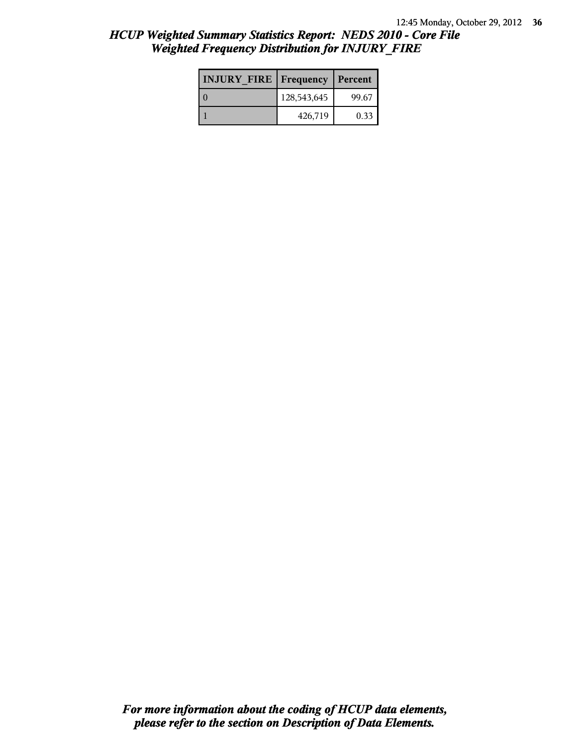| <b>INJURY FIRE   Frequency</b> |             | Percent |
|--------------------------------|-------------|---------|
|                                | 128,543,645 | 99.67   |
|                                | 426,719     | 0.33    |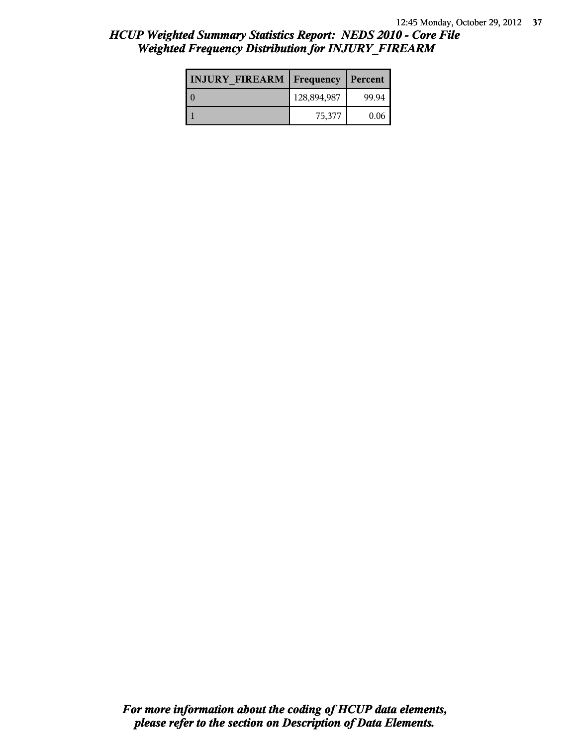| <b>INJURY FIREARM   Frequency</b> |             | Percent |
|-----------------------------------|-------------|---------|
|                                   | 128,894,987 | 99.94   |
|                                   | 75,377      | 0.06    |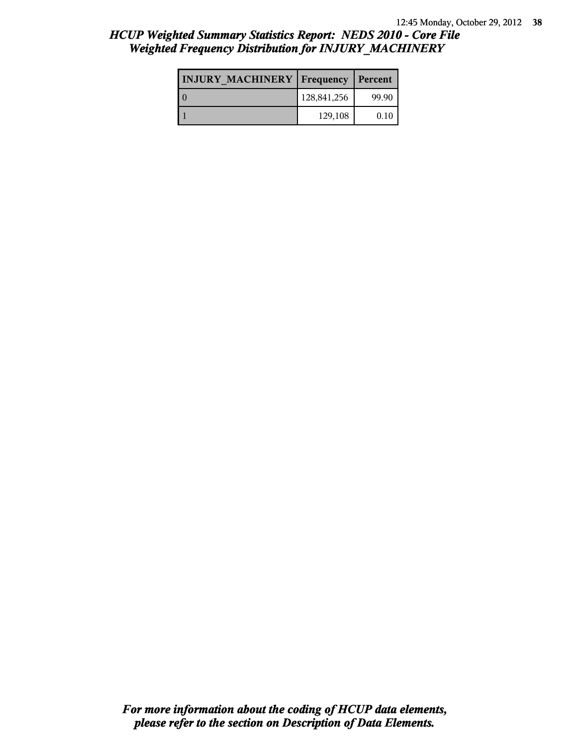| <b>INJURY MACHINERY   Frequency</b> |             | Percent |
|-------------------------------------|-------------|---------|
|                                     | 128,841,256 | 99.90   |
|                                     | 129,108     | 0.10    |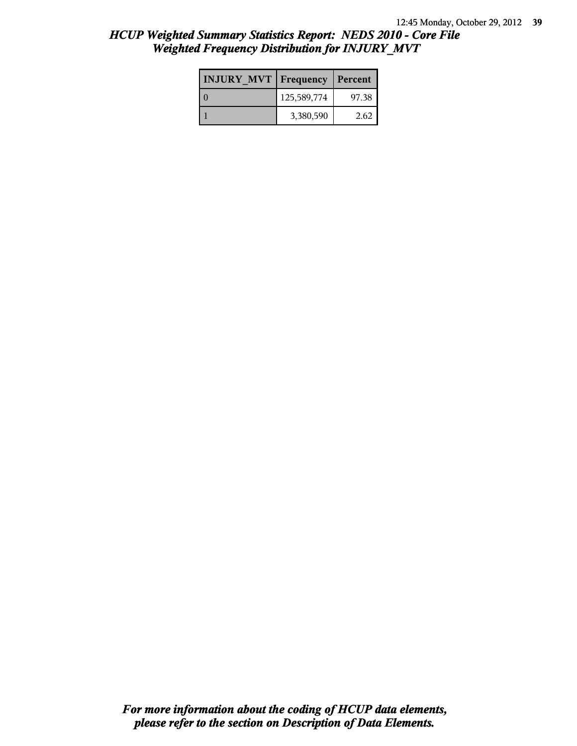| <b>INJURY MVT Frequency</b> |             | Percent |
|-----------------------------|-------------|---------|
|                             | 125,589,774 | 97.38   |
|                             | 3,380,590   | 2.62    |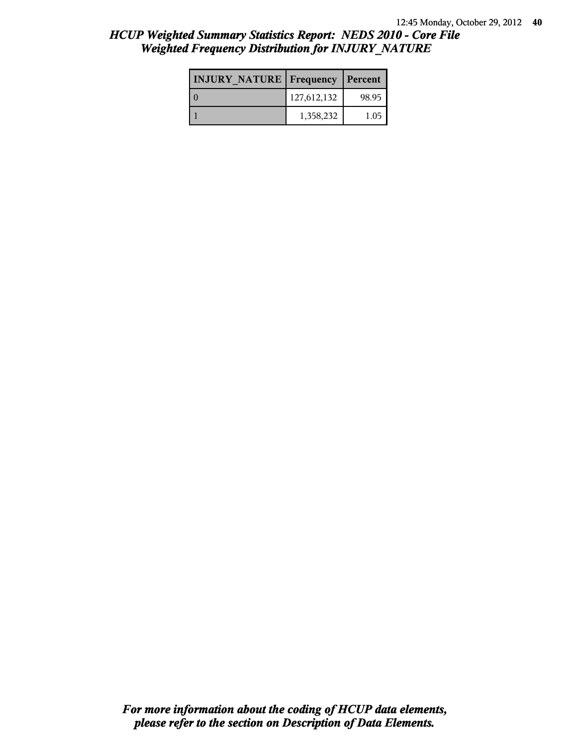| <b>INJURY NATURE Frequency</b> |             | Percent |
|--------------------------------|-------------|---------|
|                                | 127,612,132 | 98.95   |
|                                | 1,358,232   | 1.05    |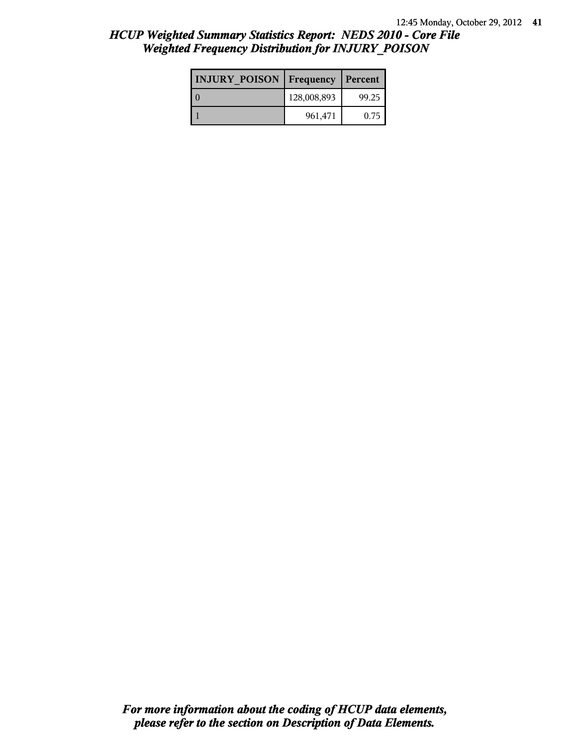| <b>INJURY POISON Frequency</b> |             | Percent |
|--------------------------------|-------------|---------|
|                                | 128,008,893 | 99.25   |
|                                | 961,471     | 0.75    |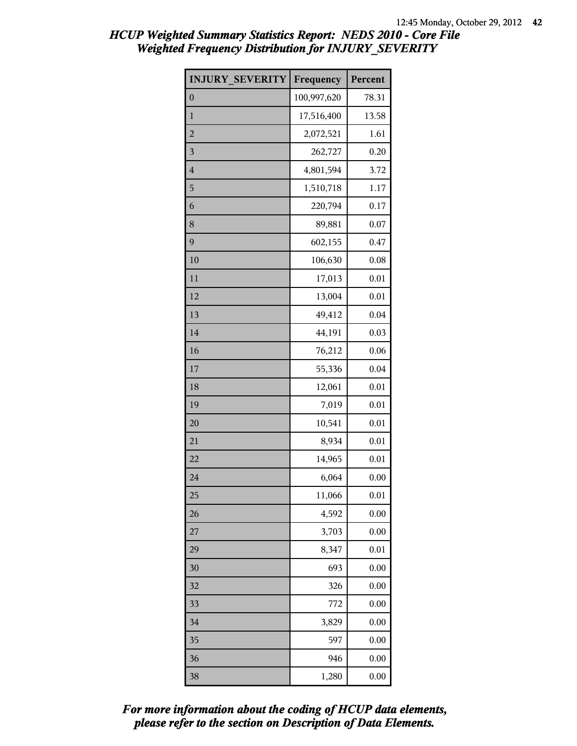| <b>INJURY SEVERITY</b> | Frequency   | Percent  |
|------------------------|-------------|----------|
| $\mathbf{0}$           | 100,997,620 | 78.31    |
| $\mathbf{1}$           | 17,516,400  | 13.58    |
| $\overline{c}$         | 2,072,521   | 1.61     |
| 3                      | 262,727     | 0.20     |
| $\overline{4}$         | 4,801,594   | 3.72     |
| 5                      | 1,510,718   | 1.17     |
| 6                      | 220,794     | 0.17     |
| 8                      | 89,881      | 0.07     |
| 9                      | 602,155     | 0.47     |
| 10                     | 106,630     | 0.08     |
| 11                     | 17,013      | 0.01     |
| 12                     | 13,004      | 0.01     |
| 13                     | 49,412      | 0.04     |
| 14                     | 44,191      | 0.03     |
| 16                     | 76,212      | 0.06     |
| 17                     | 55,336      | 0.04     |
| 18                     | 12,061      | 0.01     |
| 19                     | 7,019       | 0.01     |
| 20                     | 10,541      | 0.01     |
| 21                     | 8,934       | 0.01     |
| 22                     | 14,965      | 0.01     |
| 24                     | 6,064       | 0.00     |
| 25                     | 11,066      | 0.01     |
| 26                     | 4,592       | 0.00     |
| 27                     | 3,703       | 0.00     |
| 29                     | 8,347       | 0.01     |
| 30                     | 693         | 0.00     |
| 32                     | 326         | 0.00     |
| 33                     | 772         | 0.00     |
| 34                     | 3,829       | 0.00     |
| 35                     | 597         | 0.00     |
| 36                     | 946         | 0.00     |
| 38                     | 1,280       | $0.00\,$ |

*please refer to the section on Description of Data Elements. For more information about the coding of HCUP data elements,*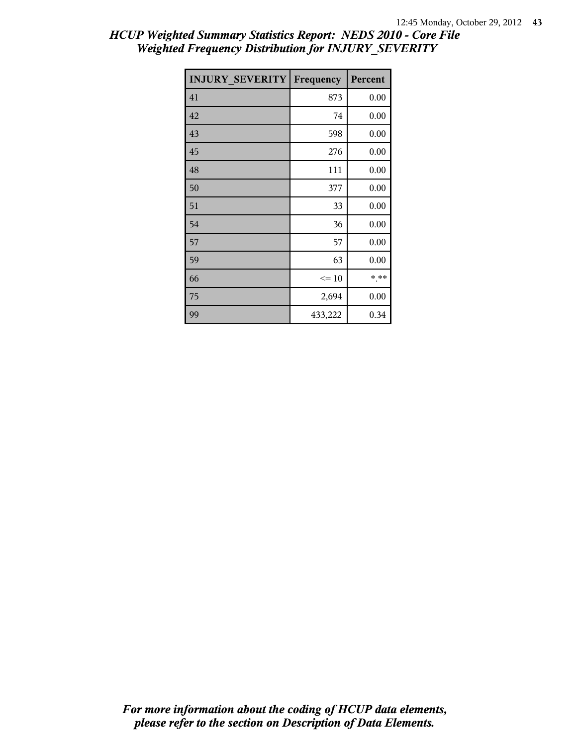| <b>INJURY SEVERITY</b> | Frequency | Percent |
|------------------------|-----------|---------|
| 41                     | 873       | 0.00    |
| 42                     | 74        | 0.00    |
| 43                     | 598       | 0.00    |
| 45                     | 276       | 0.00    |
| 48                     | 111       | 0.00    |
| 50                     | 377       | 0.00    |
| 51                     | 33        | 0.00    |
| 54                     | 36        | 0.00    |
| 57                     | 57        | 0.00    |
| 59                     | 63        | 0.00    |
| 66                     | $\leq 10$ | * **    |
| 75                     | 2,694     | 0.00    |
| 99                     | 433,222   | 0.34    |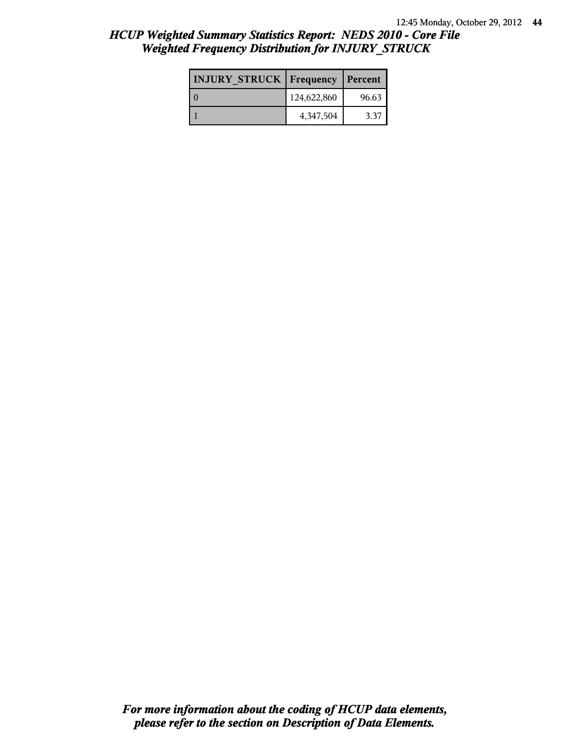| <b>INJURY STRUCK Frequency</b> |             | Percent |
|--------------------------------|-------------|---------|
|                                | 124,622,860 | 96.63   |
|                                | 4,347,504   | 3.37    |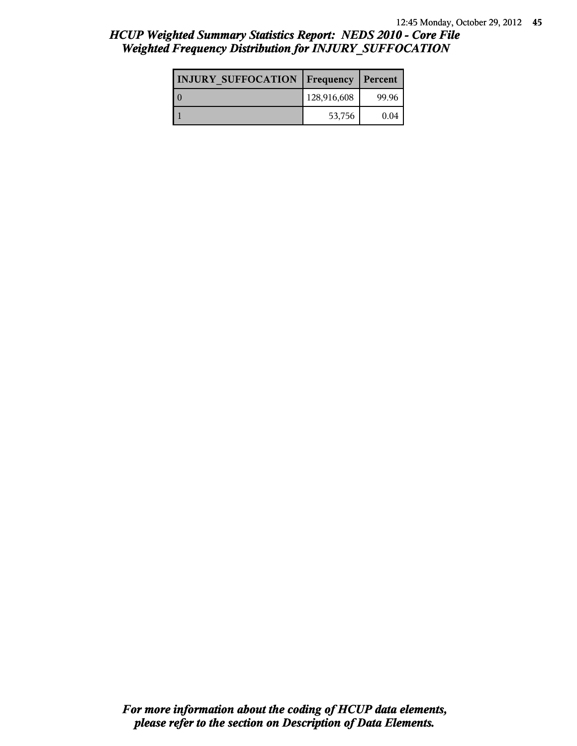| <b>INJURY SUFFOCATION</b> | <b>Frequency</b> | Percent |
|---------------------------|------------------|---------|
|                           | 128,916,608      | 99.96   |
|                           | 53,756           | 0.04    |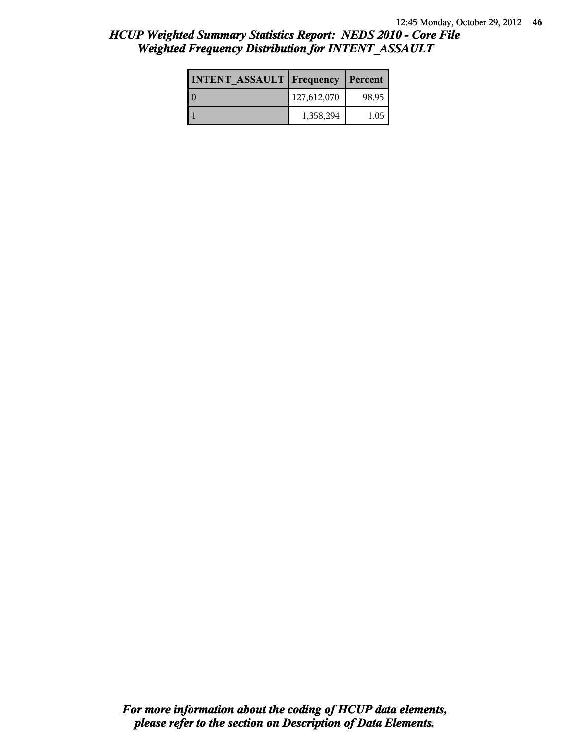| <b>INTENT ASSAULT Frequency</b> |             | Percent |
|---------------------------------|-------------|---------|
| LΩ                              | 127,612,070 | 98.95   |
|                                 | 1,358,294   | 1.05    |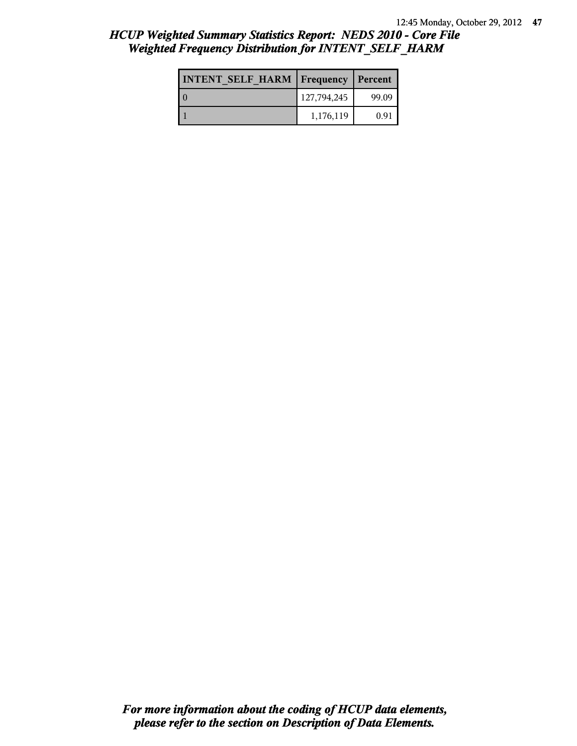| <b>INTENT SELF HARM   Frequency</b> |             | Percent |
|-------------------------------------|-------------|---------|
|                                     | 127,794,245 | 99.09   |
|                                     | 1,176,119   | 0.91    |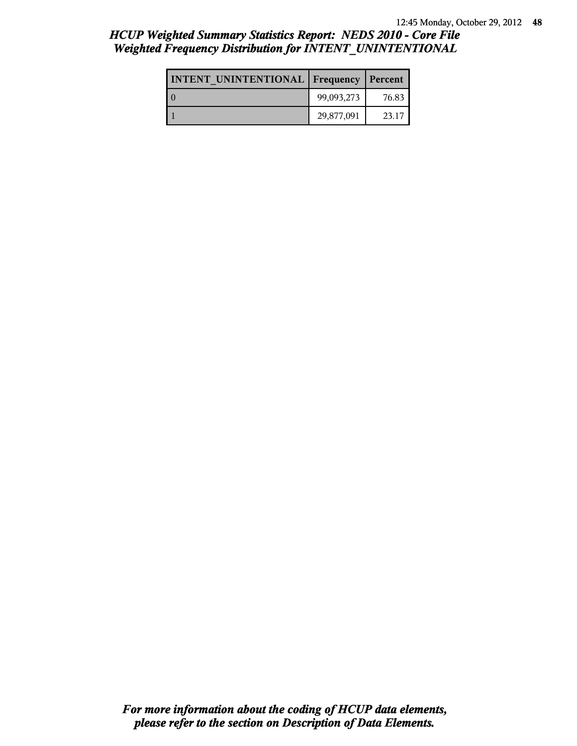| <b>INTENT UNINTENTIONAL   Frequency   Percent</b> |            |       |
|---------------------------------------------------|------------|-------|
|                                                   | 99,093,273 | 76.83 |
|                                                   | 29,877,091 | 23.17 |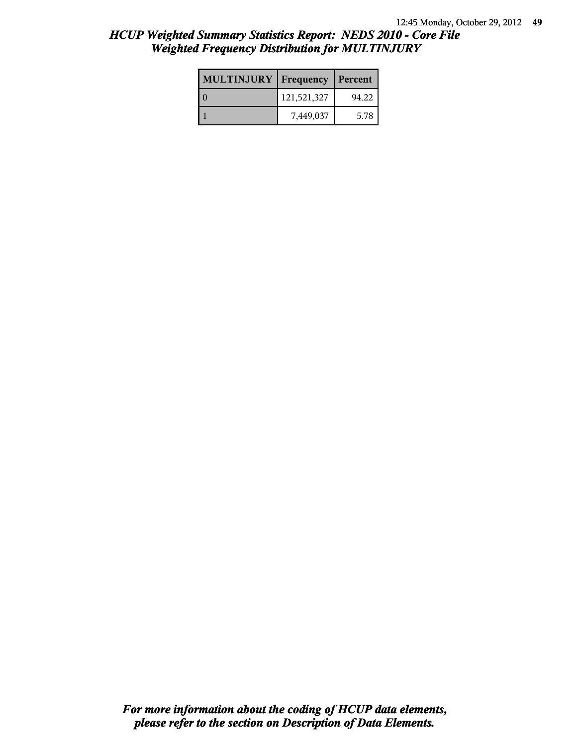| <b>MULTINJURY</b> | Frequency   | Percent |
|-------------------|-------------|---------|
|                   | 121,521,327 | 94.22   |
|                   | 7,449,037   | 5.78    |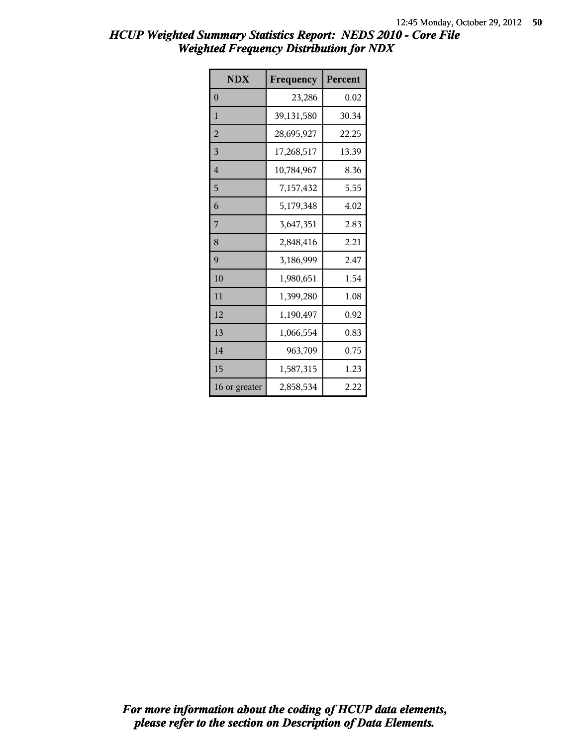| <b>NDX</b>     | Frequency  | Percent |
|----------------|------------|---------|
| $\overline{0}$ | 23,286     | 0.02    |
| $\mathbf{1}$   | 39,131,580 | 30.34   |
| $\overline{c}$ | 28,695,927 | 22.25   |
| 3              | 17,268,517 | 13.39   |
| 4              | 10,784,967 | 8.36    |
| 5              | 7,157,432  | 5.55    |
| 6              | 5,179,348  | 4.02    |
| 7              | 3,647,351  | 2.83    |
| 8              | 2,848,416  | 2.21    |
| 9              | 3,186,999  | 2.47    |
| 10             | 1,980,651  | 1.54    |
| 11             | 1,399,280  | 1.08    |
| 12             | 1,190,497  | 0.92    |
| 13             | 1,066,554  | 0.83    |
| 14             | 963,709    | 0.75    |
| 15             | 1,587,315  | 1.23    |
| 16 or greater  | 2,858,534  | 2.22    |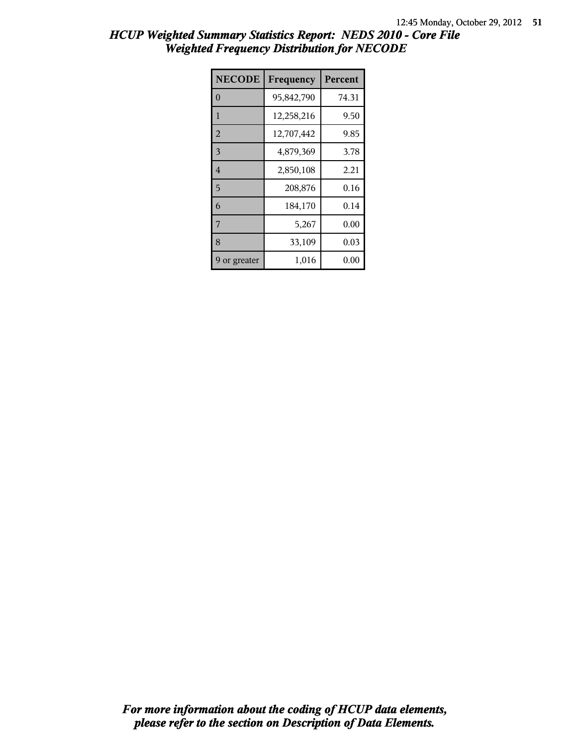| <b>NECODE</b>  | Frequency  | Percent  |
|----------------|------------|----------|
| $\Omega$       | 95,842,790 | 74.31    |
| 1              | 12,258,216 | 9.50     |
| $\overline{2}$ | 12,707,442 | 9.85     |
| 3              | 4,879,369  | 3.78     |
| $\overline{4}$ | 2,850,108  | 2.21     |
| 5              | 208,876    | 0.16     |
| 6              | 184,170    | 0.14     |
| 7              | 5,267      | 0.00     |
| 8              | 33,109     | 0.03     |
| 9 or greater   | 1,016      | $0.00\,$ |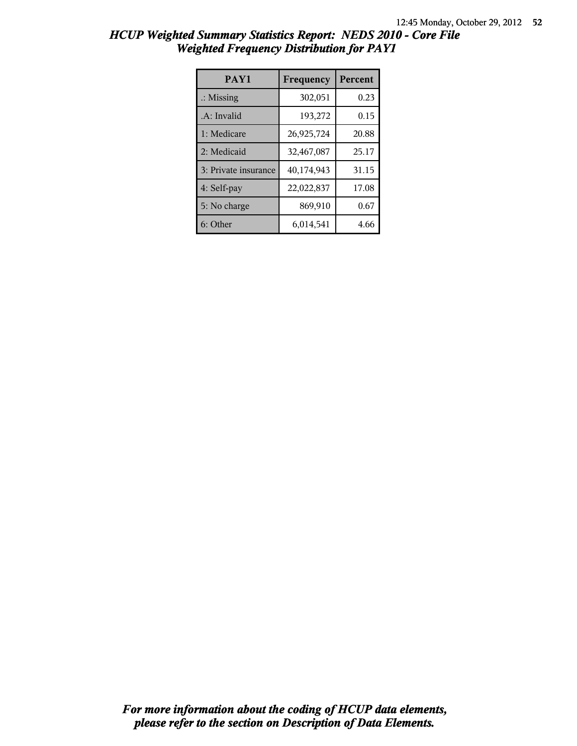| HCUP Weighted Summary Statistics Report: NEDS 2010 - Core File |  |
|----------------------------------------------------------------|--|
| <b>Weighted Frequency Distribution for PAY1</b>                |  |

| PAY1                 | Frequency  | <b>Percent</b> |
|----------------------|------------|----------------|
| $\therefore$ Missing | 302,051    | 0.23           |
| .A: Invalid          | 193,272    | 0.15           |
| 1: Medicare          | 26,925,724 | 20.88          |
| 2: Medicaid          | 32,467,087 | 25.17          |
| 3: Private insurance | 40,174,943 | 31.15          |
| 4: Self-pay          | 22,022,837 | 17.08          |
| 5: No charge         | 869,910    | 0.67           |
| 6: Other             | 6,014,541  | 4.66           |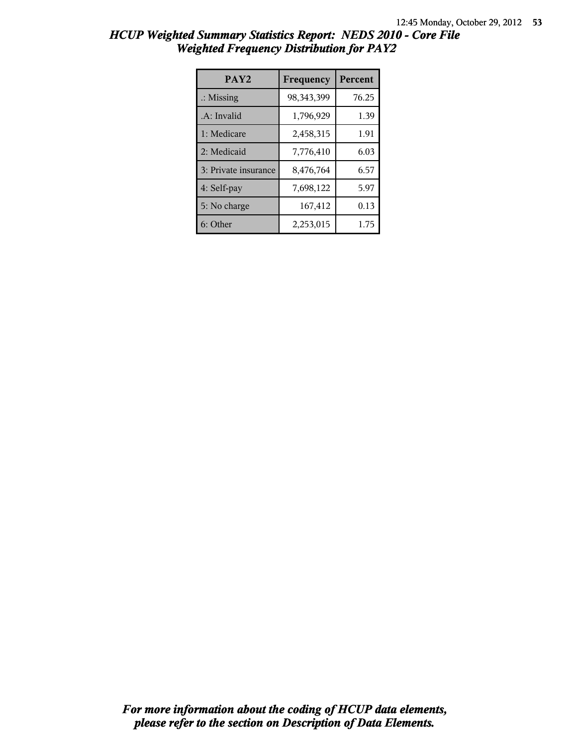| HCUP Weighted Summary Statistics Report: NEDS 2010 - Core File |  |  |
|----------------------------------------------------------------|--|--|
| <b>Weighted Frequency Distribution for PAY2</b>                |  |  |

| PAY <sub>2</sub>     | Frequency    | <b>Percent</b> |
|----------------------|--------------|----------------|
| $\therefore$ Missing | 98, 343, 399 | 76.25          |
| .A: Invalid          | 1,796,929    | 1.39           |
| 1: Medicare          | 2,458,315    | 1.91           |
| 2: Medicaid          | 7,776,410    | 6.03           |
| 3: Private insurance | 8,476,764    | 6.57           |
| 4: Self-pay          | 7,698,122    | 5.97           |
| 5: No charge         | 167,412      | 0.13           |
| 6: Other             | 2,253,015    | 1.75           |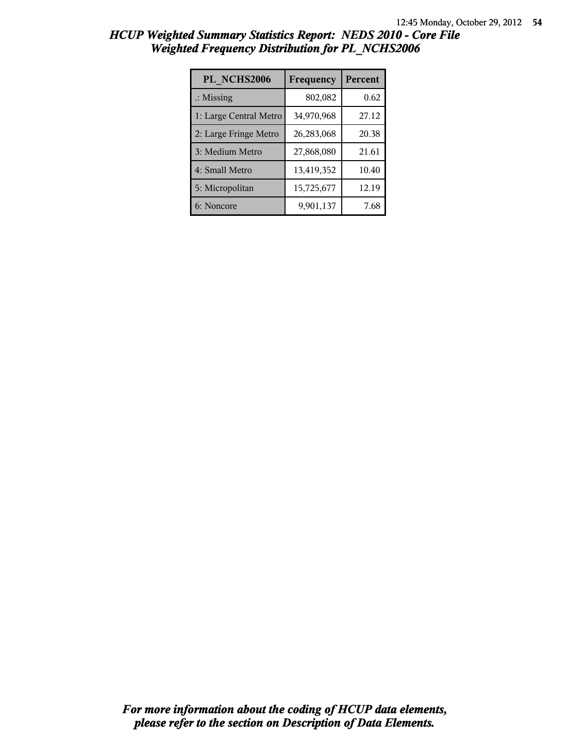| PL NCHS2006            | Frequency  | Percent |
|------------------------|------------|---------|
| $\therefore$ Missing   | 802,082    | 0.62    |
| 1: Large Central Metro | 34,970,968 | 27.12   |
| 2: Large Fringe Metro  | 26,283,068 | 20.38   |
| 3: Medium Metro        | 27,868,080 | 21.61   |
| 4: Small Metro         | 13,419,352 | 10.40   |
| 5: Micropolitan        | 15,725,677 | 12.19   |
| 6: Noncore             | 9,901,137  | 7.68    |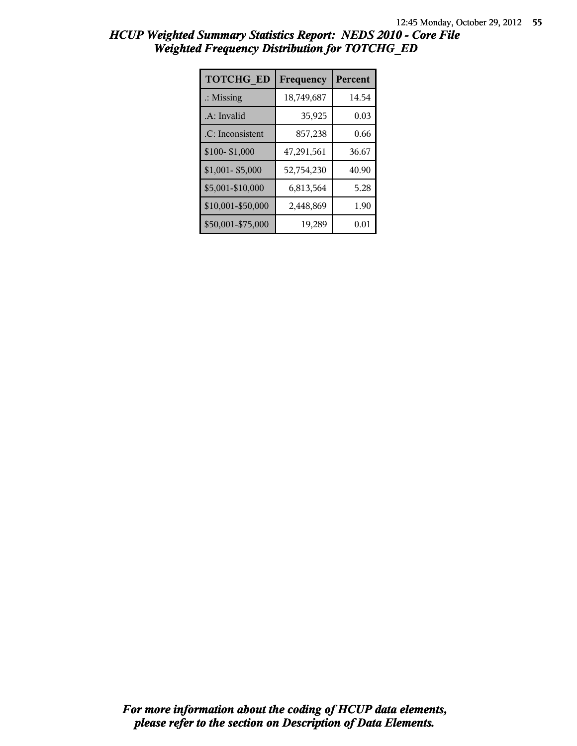| <b>TOTCHG ED</b>     | Frequency  | Percent |
|----------------------|------------|---------|
| $\therefore$ Missing | 18,749,687 | 14.54   |
| .A: Invalid          | 35,925     | 0.03    |
| .C: Inconsistent     | 857,238    | 0.66    |
| \$100-\$1,000        | 47,291,561 | 36.67   |
| \$1,001-\$5,000      | 52,754,230 | 40.90   |
| \$5,001-\$10,000     | 6,813,564  | 5.28    |
| \$10,001-\$50,000    | 2,448,869  | 1.90    |
| \$50,001-\$75,000    | 19,289     | 0.01    |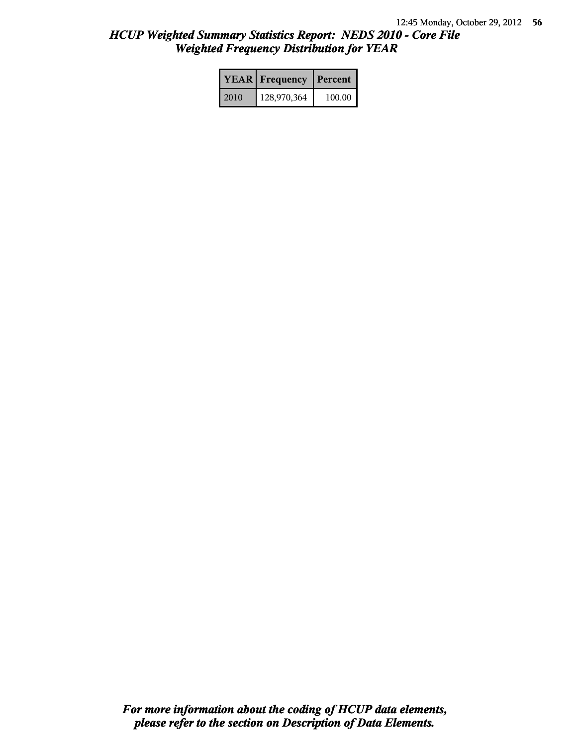|      | <b>YEAR</b> Frequency | Percent |
|------|-----------------------|---------|
| 2010 | 128,970,364           | 100.00  |